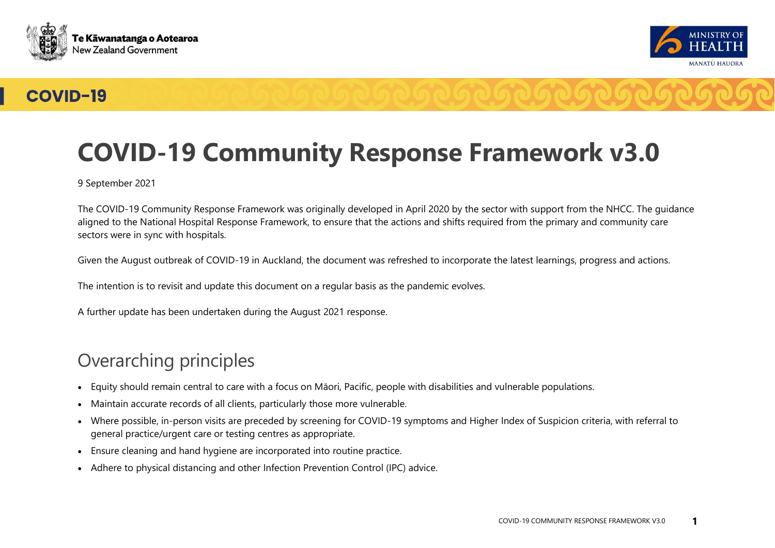



## **COVID-19**



9 September 2021

The COVID-19 Community Response Framework was originally developed in April 2020 by the sector with support from the NHCC. The guidance aligned to the National Hospital Response Framework, to ensure that the actions and shifts required from the primary and community care sectors were in sync with hospitals.

Given the August outbreak of COVID-19 in Auckland, the document was refreshed to incorporate the latest learnings, progress and actions.

The intention is to revisit and update this document on a regular basis as the pandemic evolves.

A further update has been undertaken during the August 2021 response.

## Overarching principles

- Equity should remain central to care with a focus on Māori, Pacific, people with disabilities and vulnerable populations.
- Maintain accurate records of all clients, particularly those more vulnerable.
- Where possible, in-person visits are preceded by screening for COVID-19 symptoms and Higher Index of Suspicion criteria, with referral to general practice/urgent care or testing centres as appropriate.
- Ensure cleaning and hand hygiene are incorporated into routine practice.
- Adhere to physical distancing and other Infection Prevention Control (IPC) advice.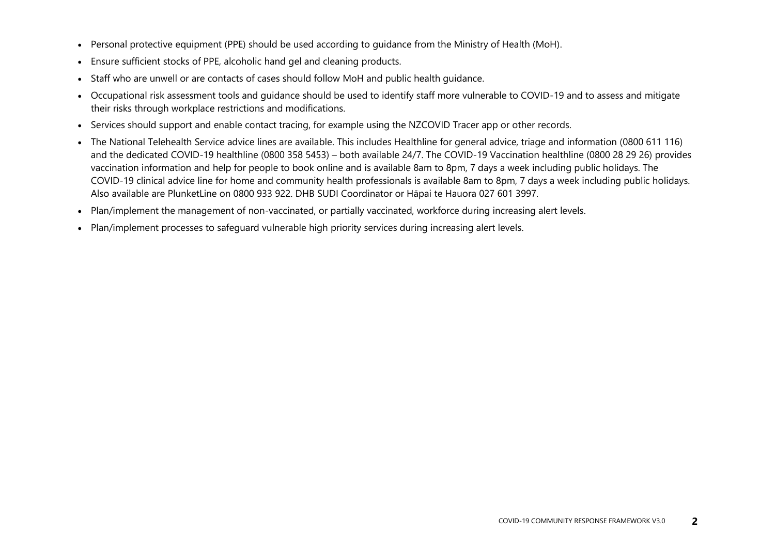- Personal protective equipment (PPE) should be used according to guidance from the Ministry of Health (MoH).
- Ensure sufficient stocks of PPE, alcoholic hand gel and cleaning products.
- Staff who are unwell or are contacts of cases should follow MoH and public health quidance.
- Occupational risk assessment tools and guidance should be used to identify staff more vulnerable to COVID-19 and to assess and mitigate their risks through workplace restrictions and modifications.
- Services should support and enable contact tracing, for example using the NZCOVID Tracer app or other records.
- The National Telehealth Service advice lines are available. This includes Healthline for general advice, triage and information (0800 611 116) and the dedicated COVID-19 healthline (0800 358 5453) – both available 24/7. The COVID-19 Vaccination healthline (0800 28 29 26) provides vaccination information and help for people to book online and is available 8am to 8pm, 7 days a week including public holidays. The COVID-19 clinical advice line for home and community health professionals is available 8am to 8pm, 7 days a week including public holidays. Also available are PlunketLine on 0800 933 922. DHB SUDI Coordinator or Hāpai te Hauora 027 601 3997.
- Plan/implement the management of non-vaccinated, or partially vaccinated, workforce during increasing alert levels.
- Plan/implement processes to safeguard vulnerable high priority services during increasing alert levels.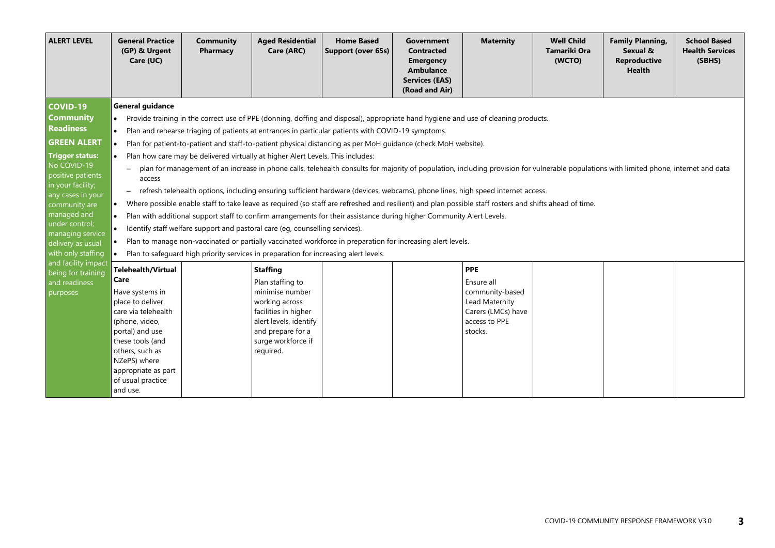| <b>ALERT LEVEL</b>                                                                                                                                                                                                                                                                                     | <b>General Practice</b><br>(GP) & Urgent<br>Care (UC)                                                                                                                                                                                                                                                                                                                                                                                                                                                                                                                                                                                                                                                                                                                                                                                                                                                                                                                                                                                                                                                                                                                                                                                                                                                                                                                                                                      | <b>Community</b><br>Pharmacy | <b>Aged Residential</b><br>Care (ARC)                                                                                                                                              | <b>Home Based</b><br>Support (over 65s) | Government<br><b>Contracted</b><br><b>Emergency</b><br><b>Ambulance</b><br><b>Services (EAS)</b><br>(Road and Air) | <b>Maternity</b>                                                                                                | <b>Well Child</b><br><b>Tamariki Ora</b><br>(WCTO) | <b>Family Planning,</b><br>Sexual &<br><b>Reproductive</b><br><b>Health</b> | <b>School Based</b><br><b>Health Services</b><br>(SBHS) |  |  |
|--------------------------------------------------------------------------------------------------------------------------------------------------------------------------------------------------------------------------------------------------------------------------------------------------------|----------------------------------------------------------------------------------------------------------------------------------------------------------------------------------------------------------------------------------------------------------------------------------------------------------------------------------------------------------------------------------------------------------------------------------------------------------------------------------------------------------------------------------------------------------------------------------------------------------------------------------------------------------------------------------------------------------------------------------------------------------------------------------------------------------------------------------------------------------------------------------------------------------------------------------------------------------------------------------------------------------------------------------------------------------------------------------------------------------------------------------------------------------------------------------------------------------------------------------------------------------------------------------------------------------------------------------------------------------------------------------------------------------------------------|------------------------------|------------------------------------------------------------------------------------------------------------------------------------------------------------------------------------|-----------------------------------------|--------------------------------------------------------------------------------------------------------------------|-----------------------------------------------------------------------------------------------------------------|----------------------------------------------------|-----------------------------------------------------------------------------|---------------------------------------------------------|--|--|
| <b>COVID-19</b><br><b>Community</b><br><b>Readiness</b><br><b>GREEN ALERT</b><br><b>Trigger status:</b><br>No COVID-19<br>positive patients<br>in your facility;<br>any cases in your<br>community are<br>managed and<br>under control;<br>managing service<br>delivery as usual<br>with only staffing | <b>General guidance</b><br>$\bullet$<br>Provide training in the correct use of PPE (donning, doffing and disposal), appropriate hand hygiene and use of cleaning products.<br>Plan and rehearse triaging of patients at entrances in particular patients with COVID-19 symptoms.<br>Plan for patient-to-patient and staff-to-patient physical distancing as per MoH quidance (check MoH website).<br>Plan how care may be delivered virtually at higher Alert Levels. This includes:<br>plan for management of an increase in phone calls, telehealth consults for majority of population, including provision for vulnerable populations with limited phone, internet and data<br>access<br>refresh telehealth options, including ensuring sufficient hardware (devices, webcams), phone lines, high speed internet access.<br>$-$<br>Where possible enable staff to take leave as required (so staff are refreshed and resilient) and plan possible staff rosters and shifts ahead of time.<br>Plan with additional support staff to confirm arrangements for their assistance during higher Community Alert Levels.<br>$\bullet$<br>Identify staff welfare support and pastoral care (eq, counselling services).<br>Plan to manage non-vaccinated or partially vaccinated workforce in preparation for increasing alert levels.<br>Plan to safeguard high priority services in preparation for increasing alert levels. |                              |                                                                                                                                                                                    |                                         |                                                                                                                    |                                                                                                                 |                                                    |                                                                             |                                                         |  |  |
| and facility impact<br>being for training<br>and readiness<br>purposes                                                                                                                                                                                                                                 | <b>Telehealth/Virtual</b><br>Care<br>Have systems in<br>place to deliver<br>care via telehealth<br>(phone, video,<br>portal) and use<br>these tools (and<br>others, such as<br>NZePS) where<br>appropriate as part<br>of usual practice<br>and use.                                                                                                                                                                                                                                                                                                                                                                                                                                                                                                                                                                                                                                                                                                                                                                                                                                                                                                                                                                                                                                                                                                                                                                        |                              | <b>Staffing</b><br>Plan staffing to<br>minimise number<br>working across<br>facilities in higher<br>alert levels, identify<br>and prepare for a<br>surge workforce if<br>required. |                                         |                                                                                                                    | <b>PPE</b><br>Ensure all<br>community-based<br>Lead Maternity<br>Carers (LMCs) have<br>access to PPE<br>stocks. |                                                    |                                                                             |                                                         |  |  |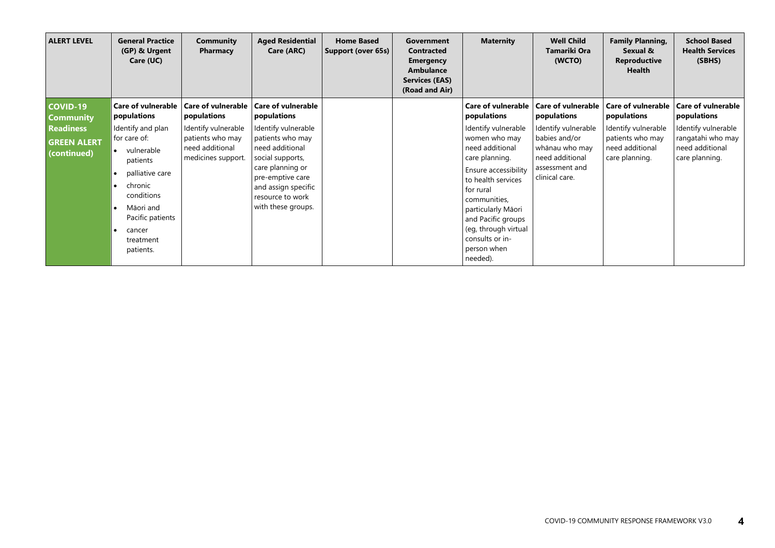| <b>ALERT LEVEL</b>                                    | <b>General Practice</b><br>(GP) & Urgent<br>Care (UC)                                                                                                                                                                            | Community<br>Pharmacy                                                            | <b>Aged Residential</b><br>Care (ARC)                                                                                                                                                   | <b>Home Based</b><br>Support (over 65s) | Government<br><b>Contracted</b><br><b>Emergency</b><br>Ambulance<br><b>Services (EAS)</b><br>(Road and Air) | <b>Maternity</b>                                                                                                                                                                                                                                                       | <b>Well Child</b><br>Tamariki Ora<br>(WCTO)                                                                   | <b>Family Planning,</b><br>Sexual &<br><b>Reproductive</b><br><b>Health</b>  | <b>School Based</b><br><b>Health Services</b><br>(SBHS)                       |
|-------------------------------------------------------|----------------------------------------------------------------------------------------------------------------------------------------------------------------------------------------------------------------------------------|----------------------------------------------------------------------------------|-----------------------------------------------------------------------------------------------------------------------------------------------------------------------------------------|-----------------------------------------|-------------------------------------------------------------------------------------------------------------|------------------------------------------------------------------------------------------------------------------------------------------------------------------------------------------------------------------------------------------------------------------------|---------------------------------------------------------------------------------------------------------------|------------------------------------------------------------------------------|-------------------------------------------------------------------------------|
| <b>COVID-19</b><br><b>Community</b>                   | <b>Care of vulnerable</b><br>populations                                                                                                                                                                                         | <b>Care of vulnerable</b><br>populations                                         | <b>Care of vulnerable</b><br>populations                                                                                                                                                |                                         |                                                                                                             | <b>Care of vulnerable</b><br>populations                                                                                                                                                                                                                               | Care of vulnerable   Care of vulnerable<br>populations                                                        | populations                                                                  | <b>Care of vulnerable</b><br>populations                                      |
| <b>Readiness</b><br><b>GREEN ALERT</b><br>(continued) | Identify and plan<br>for care of:<br>vulnerable<br>$\bullet$<br>patients<br>palliative care<br>$\bullet$<br>chronic<br>$\bullet$<br>conditions<br>Māori and<br>$\bullet$<br>Pacific patients<br>cancer<br>treatment<br>patients. | Identify vulnerable<br>patients who may<br>need additional<br>medicines support. | Identify vulnerable<br>patients who may<br>need additional<br>social supports,<br>care planning or<br>pre-emptive care<br>and assign specific<br>resource to work<br>with these groups. |                                         |                                                                                                             | Identify vulnerable<br>women who may<br>need additional<br>care planning.<br>Ensure accessibility<br>to health services<br>for rural<br>communities,<br>particularly Māori<br>and Pacific groups<br>(eg, through virtual<br>consults or in-<br>person when<br>needed). | Identify vulnerable<br>babies and/or<br>whānau who may<br>need additional<br>assessment and<br>clinical care. | Identify vulnerable<br>patients who may<br>need additional<br>care planning. | Identify vulnerable<br>rangatahi who may<br>need additional<br>care planning. |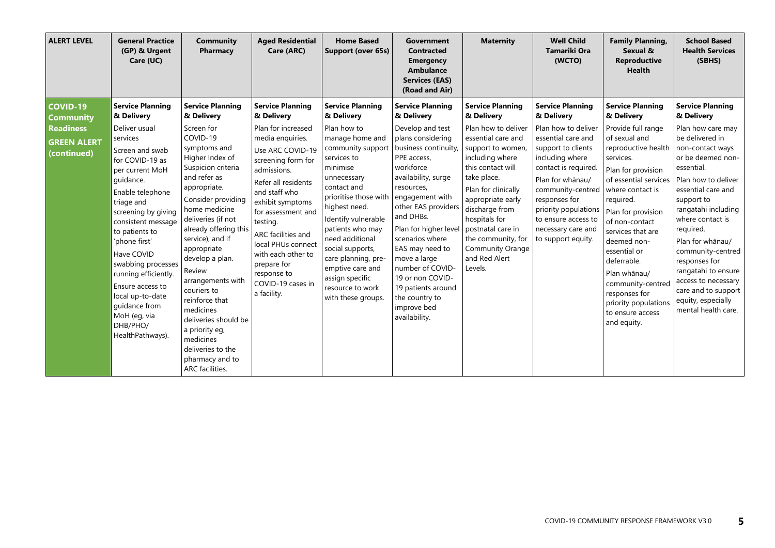| <b>ALERT LEVEL</b>                                                                           | <b>General Practice</b><br>(GP) & Urgent<br>Care (UC)                                                                                                                                                                                                                                          | <b>Community</b><br>Pharmacy                                                                                                                                                                                                                                                                         | <b>Aged Residential</b><br>Care (ARC)                                                                                                                                                                                                                                                                                   | <b>Home Based</b><br><b>Support (over 65s)</b>                                                                                                                                                                                                                                                           | Government<br><b>Contracted</b><br><b>Emergency</b><br><b>Ambulance</b><br><b>Services (EAS)</b><br>(Road and Air)                                                                                                                                                                                            | <b>Maternity</b>                                                                                                                                                                                                                                                                                                                     | <b>Well Child</b><br><b>Tamariki Ora</b><br>(WCTO)                                                                                                                                                                                                                                                       | <b>Family Planning,</b><br>Sexual &<br><b>Reproductive</b><br><b>Health</b>                                                                                                                                                                                                                                 | <b>School Based</b><br><b>Health Services</b><br>(SBHS)                                                                                                                                                                                                                                                           |
|----------------------------------------------------------------------------------------------|------------------------------------------------------------------------------------------------------------------------------------------------------------------------------------------------------------------------------------------------------------------------------------------------|------------------------------------------------------------------------------------------------------------------------------------------------------------------------------------------------------------------------------------------------------------------------------------------------------|-------------------------------------------------------------------------------------------------------------------------------------------------------------------------------------------------------------------------------------------------------------------------------------------------------------------------|----------------------------------------------------------------------------------------------------------------------------------------------------------------------------------------------------------------------------------------------------------------------------------------------------------|---------------------------------------------------------------------------------------------------------------------------------------------------------------------------------------------------------------------------------------------------------------------------------------------------------------|--------------------------------------------------------------------------------------------------------------------------------------------------------------------------------------------------------------------------------------------------------------------------------------------------------------------------------------|----------------------------------------------------------------------------------------------------------------------------------------------------------------------------------------------------------------------------------------------------------------------------------------------------------|-------------------------------------------------------------------------------------------------------------------------------------------------------------------------------------------------------------------------------------------------------------------------------------------------------------|-------------------------------------------------------------------------------------------------------------------------------------------------------------------------------------------------------------------------------------------------------------------------------------------------------------------|
| <b>COVID-19</b><br><b>Community</b><br><b>Readiness</b><br><b>GREEN ALERT</b><br>(continued) | <b>Service Planning</b><br>& Delivery<br>Deliver usual<br>services<br>Screen and swab<br>for COVID-19 as<br>per current MoH<br>quidance.<br>Enable telephone<br>triage and<br>screening by giving<br>consistent message<br>to patients to<br>'phone first'<br>Have COVID<br>swabbing processes | <b>Service Planning</b><br>& Delivery<br>Screen for<br>COVID-19<br>symptoms and<br>Higher Index of<br>Suspicion criteria<br>and refer as<br>appropriate.<br>Consider providing<br>home medicine<br>deliveries (if not<br>already offering this<br>service), and if<br>appropriate<br>develop a plan. | <b>Service Planning</b><br>& Delivery<br>Plan for increased<br>media enquiries.<br>Use ARC COVID-19<br>screening form for<br>admissions.<br>Refer all residents<br>and staff who<br>exhibit symptoms<br>for assessment and<br>testing.<br>ARC facilities and<br>local PHUs connect<br>with each other to<br>prepare for | <b>Service Planning</b><br>& Delivery<br>Plan how to<br>manage home and<br>community support<br>services to<br>minimise<br>unnecessary<br>contact and<br>prioritise those with<br>highest need.<br>Identify vulnerable<br>patients who may<br>need additional<br>social supports,<br>care planning, pre- | <b>Service Planning</b><br>& Delivery<br>Develop and test<br>plans considering<br>business continuity,<br>PPE access,<br>workforce<br>availability, surge<br>resources,<br>engagement with<br>other EAS providers<br>and DHBs.<br>Plan for higher level<br>scenarios where<br>EAS may need to<br>move a large | <b>Service Planning</b><br>& Delivery<br>Plan how to deliver<br>essential care and<br>support to women,<br>including where<br>this contact will<br>take place.<br>Plan for clinically<br>appropriate early<br>discharge from<br>hospitals for<br>postnatal care in<br>the community, for<br><b>Community Orange</b><br>and Red Alert | <b>Service Planning</b><br>& Delivery<br>Plan how to deliver<br>essential care and<br>support to clients<br>including where<br>contact is required.<br>Plan for whānau/<br>community-centred<br>responses for<br>priority populations<br>to ensure access to<br>necessary care and<br>to support equity. | <b>Service Planning</b><br>& Delivery<br>Provide full range<br>of sexual and<br>reproductive health<br>services.<br>Plan for provision<br>of essential services<br>where contact is<br>required.<br>Plan for provision<br>of non-contact<br>services that are<br>deemed non-<br>essential or<br>deferrable. | <b>Service Planning</b><br>& Delivery<br>Plan how care may<br>be delivered in<br>non-contact ways<br>or be deemed non-<br>essential.<br>Plan how to deliver<br>essential care and<br>support to<br>rangatahi including<br>where contact is<br>required.<br>Plan for whānau/<br>community-centred<br>responses for |
|                                                                                              | running efficiently.<br>Ensure access to<br>local up-to-date<br>quidance from<br>MoH (eg, via<br>DHB/PHO/<br>HealthPathways).                                                                                                                                                                  | Review<br>arrangements with<br>couriers to<br>reinforce that<br>medicines<br>deliveries should be<br>a priority eg,<br>medicines<br>deliveries to the<br>pharmacy and to<br>ARC facilities.                                                                                                          | response to<br>COVID-19 cases in<br>a facility.                                                                                                                                                                                                                                                                         | emptive care and<br>assign specific<br>resource to work<br>with these groups.                                                                                                                                                                                                                            | number of COVID-<br>19 or non COVID-<br>19 patients around<br>the country to<br>improve bed<br>availability.                                                                                                                                                                                                  | Levels.                                                                                                                                                                                                                                                                                                                              |                                                                                                                                                                                                                                                                                                          | Plan whānau/<br>community-centred<br>responses for<br>priority populations<br>to ensure access<br>and equity.                                                                                                                                                                                               | rangatahi to ensure<br>access to necessary<br>care and to support<br>equity, especially<br>mental health care.                                                                                                                                                                                                    |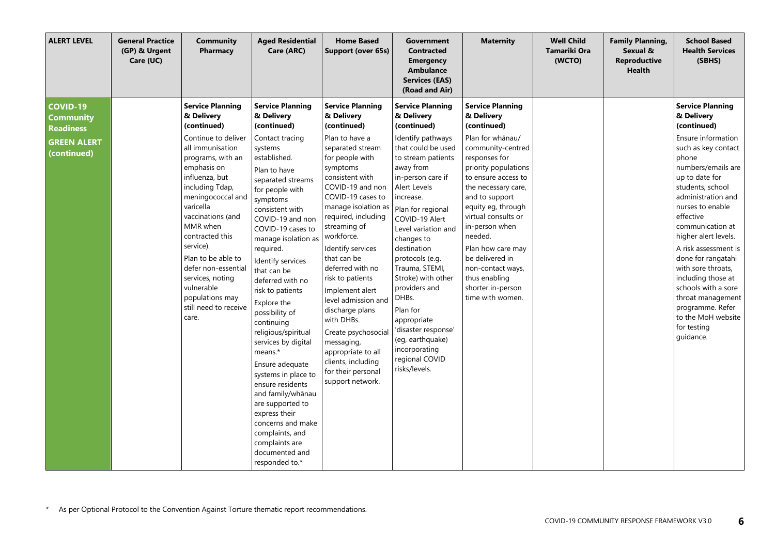| <b>ALERT LEVEL</b>                                                                           | <b>General Practice</b><br>(GP) & Urgent<br>Care (UC) | <b>Community</b><br>Pharmacy                                                                                                                                                                                                                                                                                                                                                                                    | <b>Aged Residential</b><br>Care (ARC)                                                                                                                                                                                                                                                                                                                                                                                                                                                                                                                                                                                                                                            | <b>Home Based</b><br>Support (over 65s)                                                                                                                                                                                                                                                                                                                                                                                                                                                                                                             | <b>Government</b><br><b>Contracted</b><br><b>Emergency</b><br><b>Ambulance</b><br><b>Services (EAS)</b><br>(Road and Air)                                                                                                                                                                                                                                                                                                                                                                      | <b>Maternity</b>                                                                                                                                                                                                                                                                                                                                                                                        | <b>Well Child</b><br>Tamariki Ora<br>(WCTO) | <b>Family Planning,</b><br>Sexual &<br><b>Reproductive</b><br><b>Health</b> | <b>School Based</b><br><b>Health Services</b><br>(SBHS)                                                                                                                                                                                                                                                                                                                                                                                                                               |
|----------------------------------------------------------------------------------------------|-------------------------------------------------------|-----------------------------------------------------------------------------------------------------------------------------------------------------------------------------------------------------------------------------------------------------------------------------------------------------------------------------------------------------------------------------------------------------------------|----------------------------------------------------------------------------------------------------------------------------------------------------------------------------------------------------------------------------------------------------------------------------------------------------------------------------------------------------------------------------------------------------------------------------------------------------------------------------------------------------------------------------------------------------------------------------------------------------------------------------------------------------------------------------------|-----------------------------------------------------------------------------------------------------------------------------------------------------------------------------------------------------------------------------------------------------------------------------------------------------------------------------------------------------------------------------------------------------------------------------------------------------------------------------------------------------------------------------------------------------|------------------------------------------------------------------------------------------------------------------------------------------------------------------------------------------------------------------------------------------------------------------------------------------------------------------------------------------------------------------------------------------------------------------------------------------------------------------------------------------------|---------------------------------------------------------------------------------------------------------------------------------------------------------------------------------------------------------------------------------------------------------------------------------------------------------------------------------------------------------------------------------------------------------|---------------------------------------------|-----------------------------------------------------------------------------|---------------------------------------------------------------------------------------------------------------------------------------------------------------------------------------------------------------------------------------------------------------------------------------------------------------------------------------------------------------------------------------------------------------------------------------------------------------------------------------|
| <b>COVID-19</b><br><b>Community</b><br><b>Readiness</b><br><b>GREEN ALERT</b><br>(continued) |                                                       | <b>Service Planning</b><br>& Delivery<br>(continued)<br>Continue to deliver<br>all immunisation<br>programs, with an<br>emphasis on<br>influenza, but<br>including Tdap,<br>meningococcal and<br>varicella<br>vaccinations (and<br>MMR when<br>contracted this<br>service).<br>Plan to be able to<br>defer non-essential<br>services, noting<br>vulnerable<br>populations may<br>still need to receive<br>care. | <b>Service Planning</b><br>& Delivery<br>(continued)<br>Contact tracing<br>systems<br>established.<br>Plan to have<br>separated streams<br>for people with<br>symptoms<br>consistent with<br>COVID-19 and non<br>COVID-19 cases to<br>manage isolation as<br>required.<br>Identify services<br>that can be<br>deferred with no<br>risk to patients<br>Explore the<br>possibility of<br>continuing<br>religious/spiritual<br>services by digital<br>means.*<br>Ensure adequate<br>systems in place to<br>ensure residents<br>and family/whānau<br>are supported to<br>express their<br>concerns and make<br>complaints, and<br>complaints are<br>documented and<br>responded to.* | <b>Service Planning</b><br>& Delivery<br>(continued)<br>Plan to have a<br>separated stream<br>for people with<br>symptoms<br>consistent with<br>COVID-19 and non<br>COVID-19 cases to<br>manage isolation as<br>required, including<br>streaming of<br>workforce.<br>Identify services<br>that can be<br>deferred with no<br>risk to patients<br>Implement alert<br>level admission and<br>discharge plans<br>with DHBs.<br>Create psychosocial<br>messaging,<br>appropriate to all<br>clients, including<br>for their personal<br>support network. | <b>Service Planning</b><br>& Delivery<br>(continued)<br>Identify pathways<br>that could be used<br>to stream patients<br>away from<br>in-person care if<br>Alert Levels<br>increase.<br>Plan for regional<br>COVID-19 Alert<br>Level variation and<br>changes to<br>destination<br>protocols (e.g.<br>Trauma, STEMI,<br>Stroke) with other<br>providers and<br>DHBs.<br>Plan for<br>appropriate<br>'disaster response'<br>(eq, earthquake)<br>incorporating<br>regional COVID<br>risks/levels. | <b>Service Planning</b><br>& Delivery<br>(continued)<br>Plan for whānau/<br>community-centred<br>responses for<br>priority populations<br>to ensure access to<br>the necessary care,<br>and to support<br>equity eg, through<br>virtual consults or<br>in-person when<br>needed.<br>Plan how care may<br>be delivered in<br>non-contact ways,<br>thus enabling<br>shorter in-person<br>time with women. |                                             |                                                                             | <b>Service Planning</b><br>& Delivery<br>(continued)<br>Ensure information<br>such as key contact<br>phone<br>numbers/emails are<br>up to date for<br>students, school<br>administration and<br>nurses to enable<br>effective<br>communication at<br>higher alert levels.<br>A risk assessment is<br>done for rangatahi<br>with sore throats,<br>including those at<br>schools with a sore<br>throat management<br>programme. Refer<br>to the MoH website<br>for testing<br>quidance. |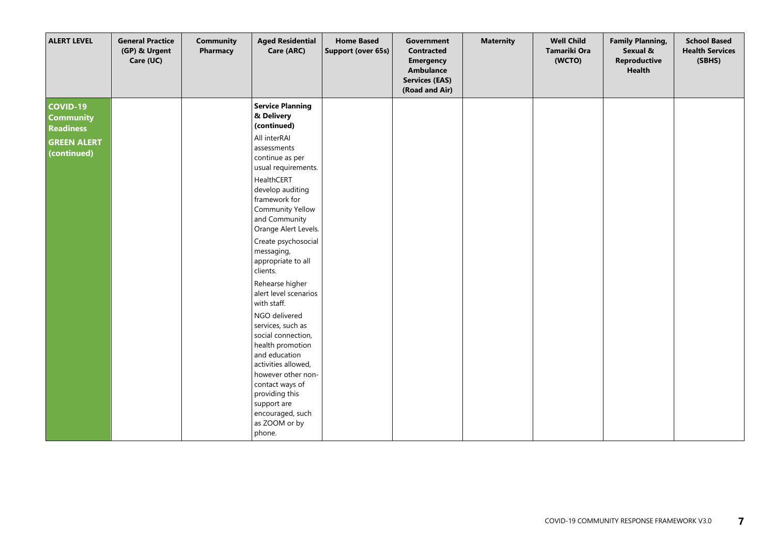| <b>ALERT LEVEL</b>                                                                           | <b>General Practice</b><br>(GP) & Urgent<br>Care (UC) | <b>Community</b><br>Pharmacy | <b>Aged Residential</b><br>Care (ARC)                                                                                                                                                                                                                                                                                                                                                                                                                                                                                                                                                                                                   | <b>Home Based</b><br>Support (over 65s) | Government<br><b>Contracted</b><br><b>Emergency</b><br><b>Ambulance</b><br><b>Services (EAS)</b><br>(Road and Air) | <b>Maternity</b> | <b>Well Child</b><br>Tamariki Ora<br>(WCTO) | <b>Family Planning,</b><br>Sexual &<br>Reproductive<br><b>Health</b> | <b>School Based</b><br><b>Health Services</b><br>(SBHS) |
|----------------------------------------------------------------------------------------------|-------------------------------------------------------|------------------------------|-----------------------------------------------------------------------------------------------------------------------------------------------------------------------------------------------------------------------------------------------------------------------------------------------------------------------------------------------------------------------------------------------------------------------------------------------------------------------------------------------------------------------------------------------------------------------------------------------------------------------------------------|-----------------------------------------|--------------------------------------------------------------------------------------------------------------------|------------------|---------------------------------------------|----------------------------------------------------------------------|---------------------------------------------------------|
| <b>COVID-19</b><br><b>Community</b><br><b>Readiness</b><br><b>GREEN ALERT</b><br>(continued) |                                                       |                              | <b>Service Planning</b><br>& Delivery<br>(continued)<br>All interRAI<br>assessments<br>continue as per<br>usual requirements.<br>HealthCERT<br>develop auditing<br>framework for<br><b>Community Yellow</b><br>and Community<br>Orange Alert Levels.<br>Create psychosocial<br>messaging,<br>appropriate to all<br>clients.<br>Rehearse higher<br>alert level scenarios<br>with staff.<br>NGO delivered<br>services, such as<br>social connection,<br>health promotion<br>and education<br>activities allowed,<br>however other non-<br>contact ways of<br>providing this<br>support are<br>encouraged, such<br>as ZOOM or by<br>phone. |                                         |                                                                                                                    |                  |                                             |                                                                      |                                                         |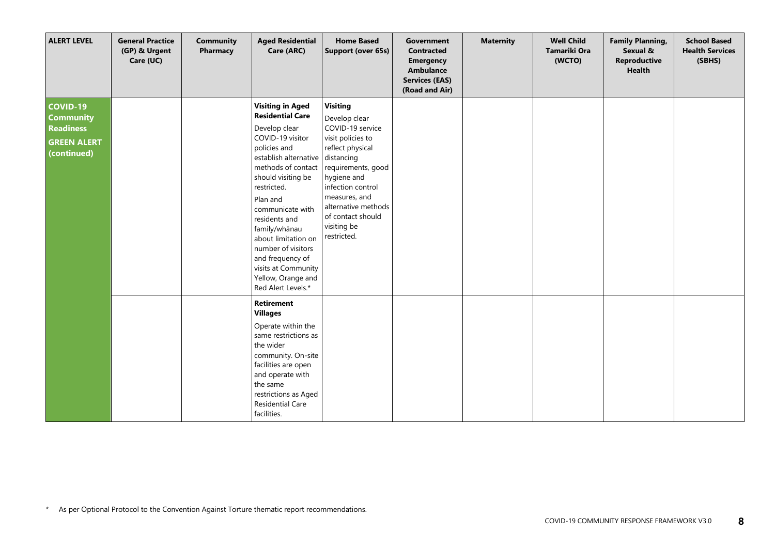| <b>ALERT LEVEL</b>                                                                           | <b>General Practice</b><br>(GP) & Urgent<br>Care (UC) | <b>Community</b><br>Pharmacy | <b>Aged Residential</b><br>Care (ARC)                                                                                                                                                                                                                                                                                                                                                             | <b>Home Based</b><br>Support (over 65s)                                                                                                                                                                                                                          | <b>Government</b><br><b>Contracted</b><br><b>Emergency</b><br><b>Ambulance</b><br><b>Services (EAS)</b><br>(Road and Air) | <b>Maternity</b> | <b>Well Child</b><br>Tamariki Ora<br>(WCTO) | <b>Family Planning,</b><br>Sexual &<br>Reproductive<br><b>Health</b> | <b>School Based</b><br><b>Health Services</b><br>(SBHS) |
|----------------------------------------------------------------------------------------------|-------------------------------------------------------|------------------------------|---------------------------------------------------------------------------------------------------------------------------------------------------------------------------------------------------------------------------------------------------------------------------------------------------------------------------------------------------------------------------------------------------|------------------------------------------------------------------------------------------------------------------------------------------------------------------------------------------------------------------------------------------------------------------|---------------------------------------------------------------------------------------------------------------------------|------------------|---------------------------------------------|----------------------------------------------------------------------|---------------------------------------------------------|
| <b>COVID-19</b><br><b>Community</b><br><b>Readiness</b><br><b>GREEN ALERT</b><br>(continued) |                                                       |                              | <b>Visiting in Aged</b><br><b>Residential Care</b><br>Develop clear<br>COVID-19 visitor<br>policies and<br>establish alternative<br>methods of contact<br>should visiting be<br>restricted.<br>Plan and<br>communicate with<br>residents and<br>family/whānau<br>about limitation on<br>number of visitors<br>and frequency of<br>visits at Community<br>Yellow, Orange and<br>Red Alert Levels.* | <b>Visiting</b><br>Develop clear<br>COVID-19 service<br>visit policies to<br>reflect physical<br>distancing<br>requirements, good<br>hygiene and<br>infection control<br>measures, and<br>alternative methods<br>of contact should<br>visiting be<br>restricted. |                                                                                                                           |                  |                                             |                                                                      |                                                         |
|                                                                                              |                                                       |                              | Retirement<br><b>Villages</b><br>Operate within the<br>same restrictions as<br>the wider<br>community. On-site<br>facilities are open<br>and operate with<br>the same<br>restrictions as Aged<br><b>Residential Care</b><br>facilities.                                                                                                                                                           |                                                                                                                                                                                                                                                                  |                                                                                                                           |                  |                                             |                                                                      |                                                         |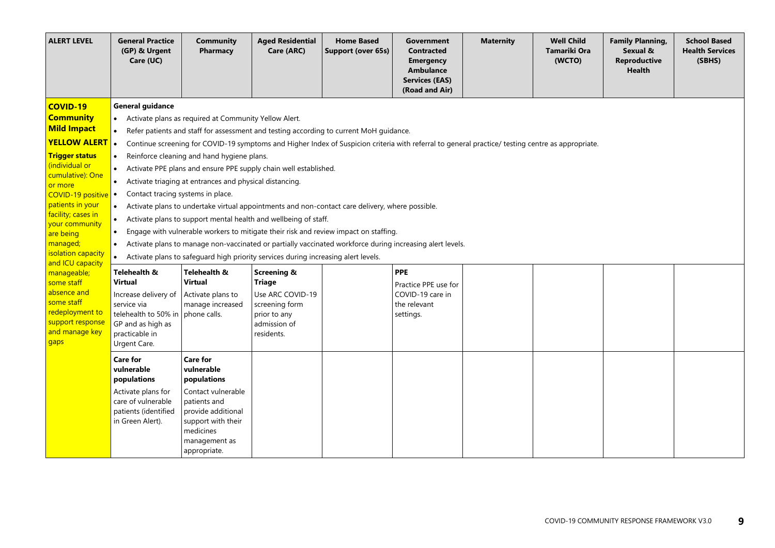| <b>ALERT LEVEL</b>                                                                                                                                                                                                                                                                         | <b>General Practice</b><br>(GP) & Urgent<br>Care (UC)                                                                                                                                                                                                                                                                                                                                                                                                                                                                                                                                                                                                                                                                                                                                                                                                                                                                                                                                                                                                                 | <b>Community</b><br>Pharmacy                                                                                                                                                 | <b>Aged Residential</b><br>Care (ARC)                                                                                       | <b>Home Based</b><br>Support (over 65s) | Government<br><b>Contracted</b><br><b>Emergency</b><br>Ambulance<br><b>Services (EAS)</b><br>(Road and Air) | <b>Maternity</b> | <b>Well Child</b><br><b>Tamariki Ora</b><br>(WCTO) | <b>Family Planning,</b><br>Sexual &<br><b>Reproductive</b><br><b>Health</b> | <b>School Based</b><br><b>Health Services</b><br>(SBHS) |  |  |
|--------------------------------------------------------------------------------------------------------------------------------------------------------------------------------------------------------------------------------------------------------------------------------------------|-----------------------------------------------------------------------------------------------------------------------------------------------------------------------------------------------------------------------------------------------------------------------------------------------------------------------------------------------------------------------------------------------------------------------------------------------------------------------------------------------------------------------------------------------------------------------------------------------------------------------------------------------------------------------------------------------------------------------------------------------------------------------------------------------------------------------------------------------------------------------------------------------------------------------------------------------------------------------------------------------------------------------------------------------------------------------|------------------------------------------------------------------------------------------------------------------------------------------------------------------------------|-----------------------------------------------------------------------------------------------------------------------------|-----------------------------------------|-------------------------------------------------------------------------------------------------------------|------------------|----------------------------------------------------|-----------------------------------------------------------------------------|---------------------------------------------------------|--|--|
| <b>COVID-19</b><br><b>Community</b><br><b>Mild Impact</b><br><b>YELLOW ALERT</b><br><b>Trigger status</b><br>(individual or<br>cumulative): One<br>or more<br>COVID-19 positive<br>patients in your<br>facility; cases in<br>your community<br>are being<br>managed;<br>isolation capacity | Activate plans as required at Community Yellow Alert.<br>Refer patients and staff for assessment and testing according to current MoH guidance.<br>Continue screening for COVID-19 symptoms and Higher Index of Suspicion criteria with referral to general practice/ testing centre as appropriate.<br>Reinforce cleaning and hand hygiene plans.<br>Activate PPE plans and ensure PPE supply chain well established.<br>Activate triaging at entrances and physical distancing.<br>$\bullet$<br>Contact tracing systems in place.<br>$\bullet$<br>$\bullet$<br>Activate plans to undertake virtual appointments and non-contact care delivery, where possible.<br>Activate plans to support mental health and wellbeing of staff.<br>Engage with vulnerable workers to mitigate their risk and review impact on staffing.<br>$\bullet$<br>Activate plans to manage non-vaccinated or partially vaccinated workforce during increasing alert levels.<br>$\bullet$<br>Activate plans to safequard high priority services during increasing alert levels.<br>$\bullet$ |                                                                                                                                                                              |                                                                                                                             |                                         |                                                                                                             |                  |                                                    |                                                                             |                                                         |  |  |
| and ICU capacity<br>manageable;<br>some staff<br>absence and<br>some staff<br>redeployment to<br>support response<br>and manage key<br>gaps                                                                                                                                                | Telehealth &<br><b>Virtual</b><br>Increase delivery of<br>service via<br>telehealth to 50% in phone calls.<br>GP and as high as<br>practicable in<br>Urgent Care.                                                                                                                                                                                                                                                                                                                                                                                                                                                                                                                                                                                                                                                                                                                                                                                                                                                                                                     | Telehealth &<br><b>Virtual</b><br>Activate plans to<br>manage increased                                                                                                      | <b>Screening &amp;</b><br><b>Triage</b><br>Use ARC COVID-19<br>screening form<br>prior to any<br>admission of<br>residents. |                                         | <b>PPE</b><br>Practice PPE use for<br>COVID-19 care in<br>the relevant<br>settings.                         |                  |                                                    |                                                                             |                                                         |  |  |
|                                                                                                                                                                                                                                                                                            | <b>Care for</b><br>vulnerable<br>populations<br>Activate plans for<br>care of vulnerable<br>patients (identified<br>in Green Alert).                                                                                                                                                                                                                                                                                                                                                                                                                                                                                                                                                                                                                                                                                                                                                                                                                                                                                                                                  | <b>Care for</b><br>vulnerable<br>populations<br>Contact vulnerable<br>patients and<br>provide additional<br>support with their<br>medicines<br>management as<br>appropriate. |                                                                                                                             |                                         |                                                                                                             |                  |                                                    |                                                                             |                                                         |  |  |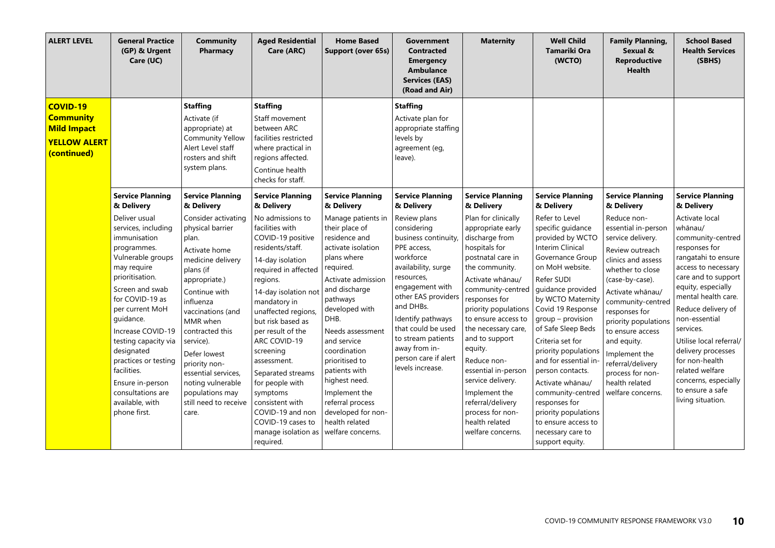| <b>ALERT LEVEL</b>                                                                              | <b>General Practice</b><br>(GP) & Urgent<br>Care (UC)                                                                                                                                                                                                                                                                                                                          | <b>Community</b><br>Pharmacy                                                                                                                                                                                                                                                                                                                          | <b>Aged Residential</b><br>Care (ARC)                                                                                                                                                                                                                                                                                                                                                                                                         | <b>Home Based</b><br>Support (over 65s)                                                                                                                                                                                                                                                                                                                                                       | <b>Government</b><br><b>Contracted</b><br><b>Emergency</b><br>Ambulance<br><b>Services (EAS)</b><br>(Road and Air)                                                                                                                                                                                       | <b>Maternity</b>                                                                                                                                                                                                                                                                                                                                                                                                                            | <b>Well Child</b><br><b>Tamariki Ora</b><br>(WCTO)                                                                                                                                                                                                                                                                                                                                                                                                                                         | <b>Family Planning,</b><br>Sexual &<br><b>Reproductive</b><br><b>Health</b>                                                                                                                                                                                                                                                                                   | <b>School Based</b><br><b>Health Services</b><br>(SBHS)                                                                                                                                                                                                                                                                                                                                      |
|-------------------------------------------------------------------------------------------------|--------------------------------------------------------------------------------------------------------------------------------------------------------------------------------------------------------------------------------------------------------------------------------------------------------------------------------------------------------------------------------|-------------------------------------------------------------------------------------------------------------------------------------------------------------------------------------------------------------------------------------------------------------------------------------------------------------------------------------------------------|-----------------------------------------------------------------------------------------------------------------------------------------------------------------------------------------------------------------------------------------------------------------------------------------------------------------------------------------------------------------------------------------------------------------------------------------------|-----------------------------------------------------------------------------------------------------------------------------------------------------------------------------------------------------------------------------------------------------------------------------------------------------------------------------------------------------------------------------------------------|----------------------------------------------------------------------------------------------------------------------------------------------------------------------------------------------------------------------------------------------------------------------------------------------------------|---------------------------------------------------------------------------------------------------------------------------------------------------------------------------------------------------------------------------------------------------------------------------------------------------------------------------------------------------------------------------------------------------------------------------------------------|--------------------------------------------------------------------------------------------------------------------------------------------------------------------------------------------------------------------------------------------------------------------------------------------------------------------------------------------------------------------------------------------------------------------------------------------------------------------------------------------|---------------------------------------------------------------------------------------------------------------------------------------------------------------------------------------------------------------------------------------------------------------------------------------------------------------------------------------------------------------|----------------------------------------------------------------------------------------------------------------------------------------------------------------------------------------------------------------------------------------------------------------------------------------------------------------------------------------------------------------------------------------------|
| <b>COVID-19</b><br><b>Community</b><br><b>Mild Impact</b><br><b>YELLOW ALERT</b><br>(continued) |                                                                                                                                                                                                                                                                                                                                                                                | <b>Staffing</b><br>Activate (if<br>appropriate) at<br><b>Community Yellow</b><br>Alert Level staff<br>rosters and shift<br>system plans.                                                                                                                                                                                                              | <b>Staffing</b><br>Staff movement<br>between ARC<br>facilities restricted<br>where practical in<br>regions affected.<br>Continue health<br>checks for staff.                                                                                                                                                                                                                                                                                  |                                                                                                                                                                                                                                                                                                                                                                                               | <b>Staffing</b><br>Activate plan for<br>appropriate staffing<br>levels by<br>agreement (eg,<br>leave).                                                                                                                                                                                                   |                                                                                                                                                                                                                                                                                                                                                                                                                                             |                                                                                                                                                                                                                                                                                                                                                                                                                                                                                            |                                                                                                                                                                                                                                                                                                                                                               |                                                                                                                                                                                                                                                                                                                                                                                              |
|                                                                                                 | <b>Service Planning</b><br>& Delivery                                                                                                                                                                                                                                                                                                                                          | <b>Service Planning</b><br>& Delivery                                                                                                                                                                                                                                                                                                                 | <b>Service Planning</b><br>& Delivery                                                                                                                                                                                                                                                                                                                                                                                                         | <b>Service Planning</b><br>& Delivery                                                                                                                                                                                                                                                                                                                                                         | <b>Service Planning</b><br>& Delivery                                                                                                                                                                                                                                                                    | <b>Service Planning</b><br>& Delivery                                                                                                                                                                                                                                                                                                                                                                                                       | <b>Service Planning</b><br>& Delivery                                                                                                                                                                                                                                                                                                                                                                                                                                                      | <b>Service Planning</b><br>& Delivery                                                                                                                                                                                                                                                                                                                         | <b>Service Planning</b><br>& Delivery                                                                                                                                                                                                                                                                                                                                                        |
|                                                                                                 | Deliver usual<br>services, including<br>immunisation<br>programmes.<br>Vulnerable groups<br>may require<br>prioritisation.<br>Screen and swab<br>for COVID-19 as<br>per current MoH<br>guidance.<br>Increase COVID-19<br>testing capacity via<br>designated<br>practices or testing<br>facilities.<br>Ensure in-person<br>consultations are<br>available, with<br>phone first. | Consider activating<br>physical barrier<br>plan.<br>Activate home<br>medicine delivery<br>plans (if<br>appropriate.)<br>Continue with<br>influenza<br>vaccinations (and<br>MMR when<br>contracted this<br>service).<br>Defer lowest<br>priority non-<br>essential services,<br>noting vulnerable<br>populations may<br>still need to receive<br>care. | No admissions to<br>facilities with<br>COVID-19 positive<br>residents/staff.<br>14-day isolation<br>required in affected<br>regions.<br>14-day isolation not<br>mandatory in<br>unaffected regions,<br>but risk based as<br>per result of the<br>ARC COVID-19<br>screening<br>assessment.<br>Separated streams<br>for people with<br>symptoms<br>consistent with<br>COVID-19 and non<br>COVID-19 cases to<br>manage isolation as<br>required. | Manage patients in<br>their place of<br>residence and<br>activate isolation<br>plans where<br>required.<br>Activate admission<br>and discharge<br>pathways<br>developed with<br>DHB.<br>Needs assessment<br>and service<br>coordination<br>prioritised to<br>patients with<br>highest need.<br>Implement the<br>referral process<br>developed for non-<br>health related<br>welfare concerns. | Review plans<br>considering<br>business continuity<br>PPE access,<br>workforce<br>availability, surge<br>resources,<br>engagement with<br>other EAS providers<br>and DHBs.<br>Identify pathways<br>that could be used<br>to stream patients<br>away from in-<br>person care if alert<br>levels increase. | Plan for clinically<br>appropriate early<br>discharge from<br>hospitals for<br>postnatal care in<br>the community.<br>Activate whānau/<br>community-centred<br>responses for<br>priority populations<br>to ensure access to<br>the necessary care,<br>and to support<br>equity.<br>Reduce non-<br>essential in-person<br>service delivery.<br>Implement the<br>referral/delivery<br>process for non-<br>health related<br>welfare concerns. | Refer to Level<br>specific quidance<br>provided by WCTO<br><b>Interim Clinical</b><br>Governance Group<br>on MoH website.<br>Refer SUDI<br>guidance provided<br>by WCTO Maternity<br>Covid 19 Response<br>group - provision<br>of Safe Sleep Beds<br>Criteria set for<br>priority populations<br>and for essential in<br>person contacts.<br>Activate whānau/<br>community-centred<br>responses for<br>priority populations<br>to ensure access to<br>necessary care to<br>support equity. | Reduce non-<br>essential in-person<br>service delivery.<br>Review outreach<br>clinics and assess<br>whether to close<br>(case-by-case).<br>Activate whānau/<br>community-centred<br>responses for<br>priority populations<br>to ensure access<br>and equity.<br>Implement the<br>referral/delivery<br>process for non-<br>health related<br>welfare concerns. | Activate local<br>whānau/<br>community-centred<br>responses for<br>rangatahi to ensure<br>access to necessary<br>care and to support<br>equity, especially<br>mental health care.<br>Reduce delivery of<br>non-essential<br>services.<br>Utilise local referral/<br>delivery processes<br>for non-health<br>related welfare<br>concerns, especially<br>to ensure a safe<br>living situation. |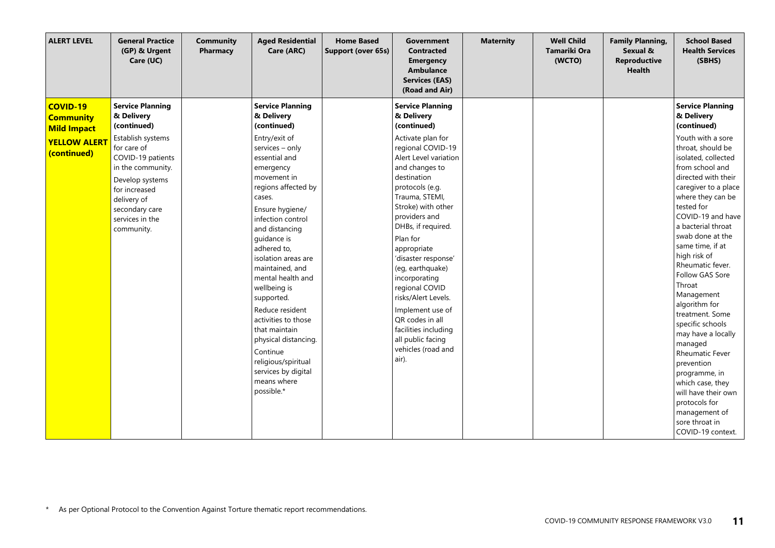| <b>ALERT LEVEL</b>                                                                              | <b>General Practice</b><br>(GP) & Urgent<br>Care (UC)                                                                                                                                                                                    | <b>Community</b><br>Pharmacy | <b>Aged Residential</b><br>Care (ARC)                                                                                                                                                                                                                                                                                                                                                                                                                                                                                                 | <b>Home Based</b><br>Support (over 65s) | <b>Government</b><br><b>Contracted</b><br><b>Emergency</b><br>Ambulance<br><b>Services (EAS)</b><br>(Road and Air)                                                                                                                                                                                                                                                                                                                                                                                            | <b>Maternity</b> | <b>Well Child</b><br><b>Tamariki Ora</b><br>(WCTO) | <b>Family Planning,</b><br>Sexual &<br><b>Reproductive</b><br><b>Health</b> | <b>School Based</b><br><b>Health Services</b><br>(SBHS)                                                                                                                                                                                                                                                                                                                                                                                                                                                                                                                                                                                                     |
|-------------------------------------------------------------------------------------------------|------------------------------------------------------------------------------------------------------------------------------------------------------------------------------------------------------------------------------------------|------------------------------|---------------------------------------------------------------------------------------------------------------------------------------------------------------------------------------------------------------------------------------------------------------------------------------------------------------------------------------------------------------------------------------------------------------------------------------------------------------------------------------------------------------------------------------|-----------------------------------------|---------------------------------------------------------------------------------------------------------------------------------------------------------------------------------------------------------------------------------------------------------------------------------------------------------------------------------------------------------------------------------------------------------------------------------------------------------------------------------------------------------------|------------------|----------------------------------------------------|-----------------------------------------------------------------------------|-------------------------------------------------------------------------------------------------------------------------------------------------------------------------------------------------------------------------------------------------------------------------------------------------------------------------------------------------------------------------------------------------------------------------------------------------------------------------------------------------------------------------------------------------------------------------------------------------------------------------------------------------------------|
| <b>COVID-19</b><br><b>Community</b><br><b>Mild Impact</b><br><b>YELLOW ALERT</b><br>(continued) | <b>Service Planning</b><br>& Delivery<br>(continued)<br>Establish systems<br>for care of<br>COVID-19 patients<br>in the community.<br>Develop systems<br>for increased<br>delivery of<br>secondary care<br>services in the<br>community. |                              | <b>Service Planning</b><br>& Delivery<br>(continued)<br>Entry/exit of<br>services - only<br>essential and<br>emergency<br>movement in<br>regions affected by<br>cases.<br>Ensure hygiene/<br>infection control<br>and distancing<br>quidance is<br>adhered to,<br>isolation areas are<br>maintained, and<br>mental health and<br>wellbeing is<br>supported.<br>Reduce resident<br>activities to those<br>that maintain<br>physical distancing.<br>Continue<br>religious/spiritual<br>services by digital<br>means where<br>possible.* |                                         | <b>Service Planning</b><br>& Delivery<br>(continued)<br>Activate plan for<br>regional COVID-19<br>Alert Level variation<br>and changes to<br>destination<br>protocols (e.g.<br>Trauma, STEMI,<br>Stroke) with other<br>providers and<br>DHBs, if required.<br>Plan for<br>appropriate<br>'disaster response'<br>(eg, earthquake)<br>incorporating<br>regional COVID<br>risks/Alert Levels.<br>Implement use of<br>QR codes in all<br>facilities including<br>all public facing<br>vehicles (road and<br>air). |                  |                                                    |                                                                             | <b>Service Planning</b><br>& Delivery<br>(continued)<br>Youth with a sore<br>throat, should be<br>isolated, collected<br>from school and<br>directed with their<br>caregiver to a place<br>where they can be<br>tested for<br>COVID-19 and have<br>a bacterial throat<br>swab done at the<br>same time, if at<br>high risk of<br>Rheumatic fever.<br>Follow GAS Sore<br>Throat<br>Management<br>algorithm for<br>treatment. Some<br>specific schools<br>may have a locally<br>managed<br>Rheumatic Fever<br>prevention<br>programme, in<br>which case, they<br>will have their own<br>protocols for<br>management of<br>sore throat in<br>COVID-19 context. |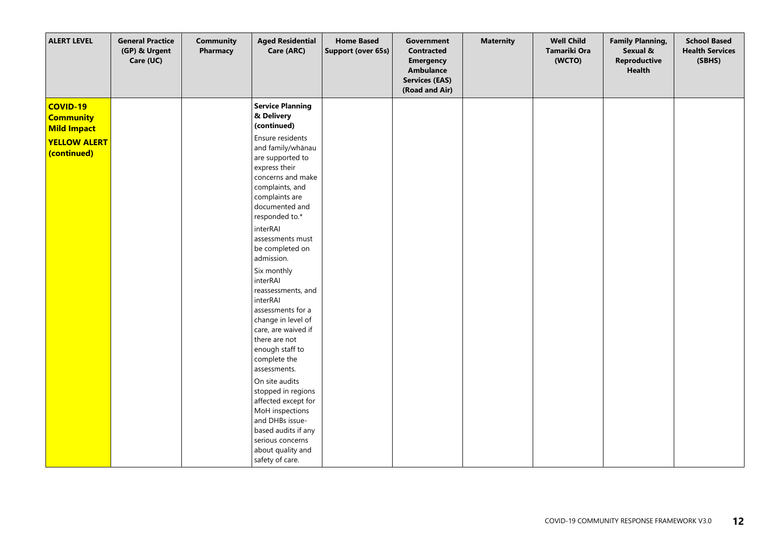| <b>ALERT LEVEL</b>                                        | <b>General Practice</b><br>(GP) & Urgent<br>Care (UC) | <b>Community</b><br>Pharmacy | <b>Aged Residential</b><br>Care (ARC)                                                                                                                                                                                                                                                                                                                                                                                                                                                                                                                                                                                                | <b>Home Based</b><br>Support (over 65s) | Government<br><b>Contracted</b><br><b>Emergency</b><br>Ambulance<br><b>Services (EAS)</b><br>(Road and Air) | <b>Maternity</b> | <b>Well Child</b><br>Tamariki Ora<br>(WCTO) | <b>Family Planning,</b><br>Sexual &<br><b>Reproductive</b><br><b>Health</b> | <b>School Based</b><br><b>Health Services</b><br>(SBHS) |
|-----------------------------------------------------------|-------------------------------------------------------|------------------------------|--------------------------------------------------------------------------------------------------------------------------------------------------------------------------------------------------------------------------------------------------------------------------------------------------------------------------------------------------------------------------------------------------------------------------------------------------------------------------------------------------------------------------------------------------------------------------------------------------------------------------------------|-----------------------------------------|-------------------------------------------------------------------------------------------------------------|------------------|---------------------------------------------|-----------------------------------------------------------------------------|---------------------------------------------------------|
| <b>COVID-19</b><br><b>Community</b><br><b>Mild Impact</b> |                                                       |                              | <b>Service Planning</b><br>& Delivery<br>(continued)                                                                                                                                                                                                                                                                                                                                                                                                                                                                                                                                                                                 |                                         |                                                                                                             |                  |                                             |                                                                             |                                                         |
| <b>YELLOW ALERT</b><br>(continued)                        |                                                       |                              | Ensure residents<br>and family/whānau<br>are supported to<br>express their<br>concerns and make<br>complaints, and<br>complaints are<br>documented and<br>responded to.*<br>interRAI<br>assessments must<br>be completed on<br>admission.<br>Six monthly<br>interRAI<br>reassessments, and<br>interRAI<br>assessments for a<br>change in level of<br>care, are waived if<br>there are not<br>enough staff to<br>complete the<br>assessments.<br>On site audits<br>stopped in regions<br>affected except for<br>MoH inspections<br>and DHBs issue-<br>based audits if any<br>serious concerns<br>about quality and<br>safety of care. |                                         |                                                                                                             |                  |                                             |                                                                             |                                                         |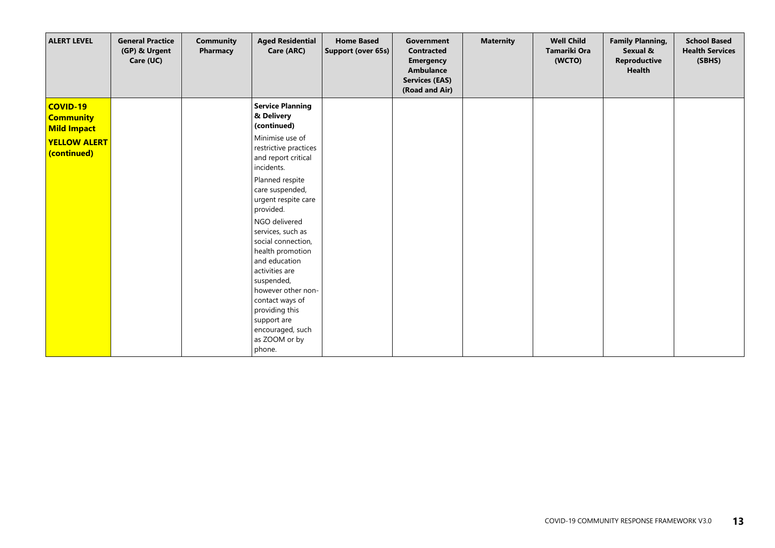| <b>ALERT LEVEL</b>                                        | <b>General Practice</b><br>(GP) & Urgent<br>Care (UC) | <b>Community</b><br>Pharmacy | <b>Aged Residential</b><br>Care (ARC)                                                                                         | <b>Home Based</b><br>Support (over 65s) | Government<br><b>Contracted</b><br><b>Emergency</b><br><b>Ambulance</b><br><b>Services (EAS)</b><br>(Road and Air) | <b>Maternity</b> | <b>Well Child</b><br>Tamariki Ora<br>(WCTO) | <b>Family Planning,</b><br>Sexual &<br><b>Reproductive</b><br><b>Health</b> | <b>School Based</b><br><b>Health Services</b><br>(SBHS) |
|-----------------------------------------------------------|-------------------------------------------------------|------------------------------|-------------------------------------------------------------------------------------------------------------------------------|-----------------------------------------|--------------------------------------------------------------------------------------------------------------------|------------------|---------------------------------------------|-----------------------------------------------------------------------------|---------------------------------------------------------|
| <b>COVID-19</b><br><b>Community</b><br><b>Mild Impact</b> |                                                       |                              | <b>Service Planning</b><br>& Delivery<br>(continued)                                                                          |                                         |                                                                                                                    |                  |                                             |                                                                             |                                                         |
| <b>YELLOW ALERT</b><br>(continued)                        |                                                       |                              | Minimise use of<br>restrictive practices<br>and report critical<br>incidents.                                                 |                                         |                                                                                                                    |                  |                                             |                                                                             |                                                         |
|                                                           |                                                       |                              | Planned respite<br>care suspended,<br>urgent respite care<br>provided.                                                        |                                         |                                                                                                                    |                  |                                             |                                                                             |                                                         |
|                                                           |                                                       |                              | NGO delivered<br>services, such as<br>social connection,<br>health promotion<br>and education<br>activities are<br>suspended, |                                         |                                                                                                                    |                  |                                             |                                                                             |                                                         |
|                                                           |                                                       |                              | however other non-<br>contact ways of<br>providing this<br>support are<br>encouraged, such<br>as ZOOM or by<br>phone.         |                                         |                                                                                                                    |                  |                                             |                                                                             |                                                         |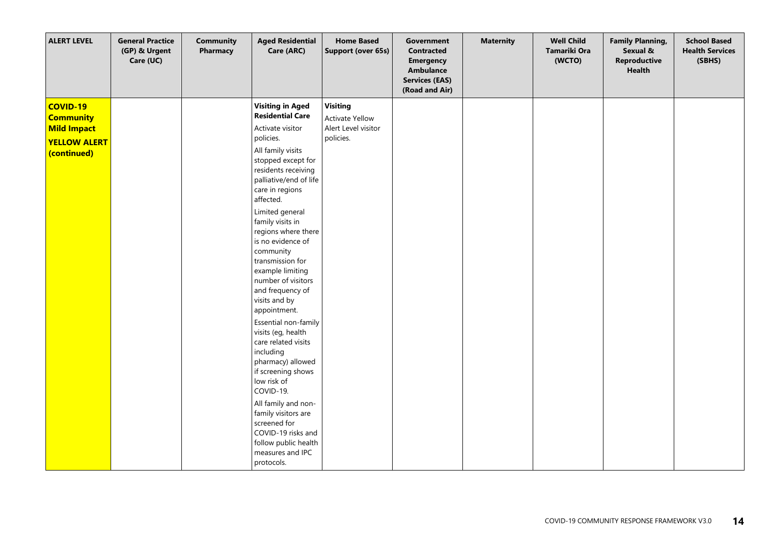| <b>ALERT LEVEL</b>                                                                              | <b>General Practice</b><br>(GP) & Urgent<br>Care (UC) | <b>Community</b><br>Pharmacy | <b>Aged Residential</b><br>Care (ARC)                                                                                                                                                                                                                                                                                                                                                                                                                                                                                                                                                                                                                                                                                                     | <b>Home Based</b><br>Support (over 65s)                                       | <b>Government</b><br><b>Contracted</b><br><b>Emergency</b><br><b>Ambulance</b><br><b>Services (EAS)</b><br>(Road and Air) | <b>Maternity</b> | <b>Well Child</b><br>Tamariki Ora<br>(WCTO) | <b>Family Planning,</b><br>Sexual &<br>Reproductive<br><b>Health</b> | <b>School Based</b><br><b>Health Services</b><br>(SBHS) |
|-------------------------------------------------------------------------------------------------|-------------------------------------------------------|------------------------------|-------------------------------------------------------------------------------------------------------------------------------------------------------------------------------------------------------------------------------------------------------------------------------------------------------------------------------------------------------------------------------------------------------------------------------------------------------------------------------------------------------------------------------------------------------------------------------------------------------------------------------------------------------------------------------------------------------------------------------------------|-------------------------------------------------------------------------------|---------------------------------------------------------------------------------------------------------------------------|------------------|---------------------------------------------|----------------------------------------------------------------------|---------------------------------------------------------|
| <b>COVID-19</b><br><b>Community</b><br><b>Mild Impact</b><br><b>YELLOW ALERT</b><br>(continued) |                                                       |                              | <b>Visiting in Aged</b><br><b>Residential Care</b><br>Activate visitor<br>policies.<br>All family visits<br>stopped except for<br>residents receiving<br>palliative/end of life<br>care in regions<br>affected.<br>Limited general<br>family visits in<br>regions where there<br>is no evidence of<br>community<br>transmission for<br>example limiting<br>number of visitors<br>and frequency of<br>visits and by<br>appointment.<br>Essential non-family<br>visits (eg, health<br>care related visits<br>including<br>pharmacy) allowed<br>if screening shows<br>low risk of<br>COVID-19.<br>All family and non-<br>family visitors are<br>screened for<br>COVID-19 risks and<br>follow public health<br>measures and IPC<br>protocols. | <b>Visiting</b><br><b>Activate Yellow</b><br>Alert Level visitor<br>policies. |                                                                                                                           |                  |                                             |                                                                      |                                                         |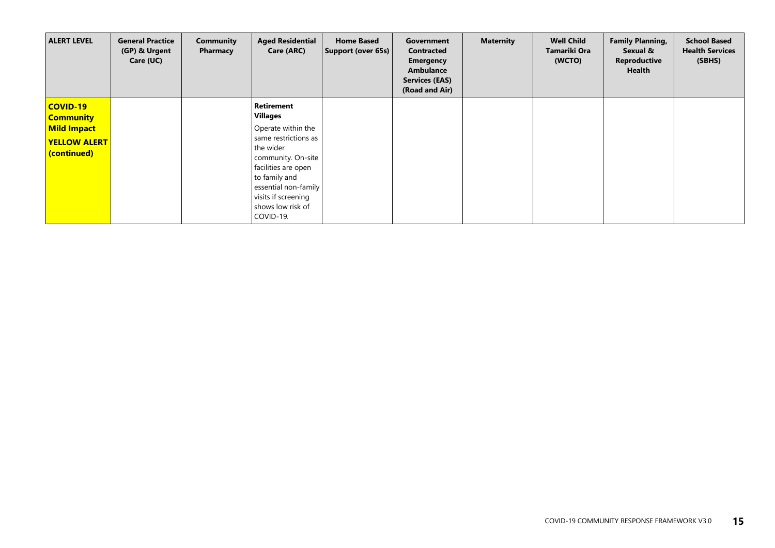| <b>ALERT LEVEL</b>                                                                              | <b>General Practice</b><br>(GP) & Urgent<br>Care (UC) | Community<br>Pharmacy | <b>Aged Residential</b><br>Care (ARC)                                                                                                                                                                                                   | <b>Home Based</b><br>Support (over 65s) | Government<br><b>Contracted</b><br><b>Emergency</b><br>Ambulance<br><b>Services (EAS)</b><br>(Road and Air) | <b>Maternity</b> | <b>Well Child</b><br>Tamariki Ora<br>(WCTO) | <b>Family Planning,</b><br>Sexual &<br>Reproductive<br>Health | <b>School Based</b><br><b>Health Services</b><br>(SBHS) |
|-------------------------------------------------------------------------------------------------|-------------------------------------------------------|-----------------------|-----------------------------------------------------------------------------------------------------------------------------------------------------------------------------------------------------------------------------------------|-----------------------------------------|-------------------------------------------------------------------------------------------------------------|------------------|---------------------------------------------|---------------------------------------------------------------|---------------------------------------------------------|
| <b>COVID-19</b><br><b>Community</b><br><b>Mild Impact</b><br><b>YELLOW ALERT</b><br>(continued) |                                                       |                       | Retirement<br><b>Villages</b><br>Operate within the<br>same restrictions as<br>the wider<br>community. On-site<br>facilities are open<br>to family and<br>essential non-family<br>visits if screening<br>shows low risk of<br>COVID-19. |                                         |                                                                                                             |                  |                                             |                                                               |                                                         |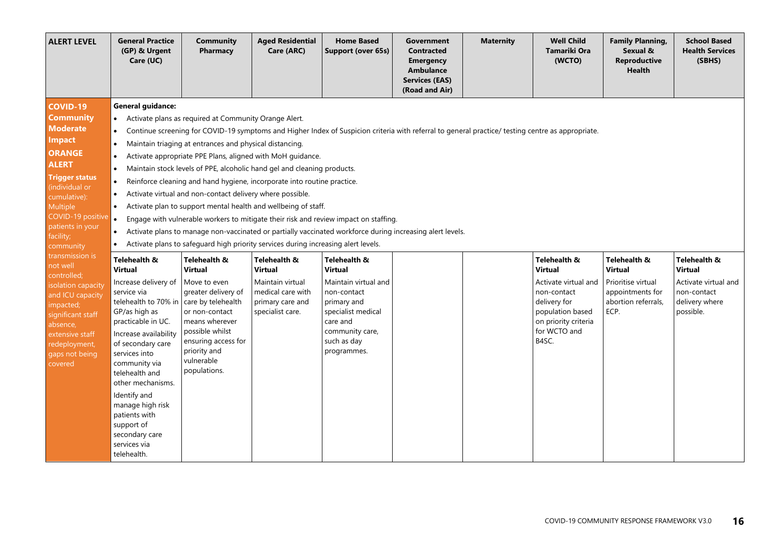| <b>ALERT LEVEL</b>                                                                                                                                                                                                                                                                                                                                                                                                                                        | <b>General Practice</b><br>(GP) & Urgent<br>Care (UC)                                                                                                                                                                                                                                                                                                                                                                                                                                                 | <b>Community</b><br>Pharmacy                                                                                                                                                                                                                                                                                                                                                                                                                                                                                                                                                                                                                                                                                                                                   | <b>Aged Residential</b><br>Care (ARC)                                                                    | <b>Home Based</b><br><b>Support (over 65s)</b>                                                                                                                                                                                                                                                                                                                                                                                                                                                                             | <b>Government</b><br><b>Contracted</b><br><b>Emergency</b><br><b>Ambulance</b><br><b>Services (EAS)</b><br>(Road and Air) | <b>Maternity</b> | <b>Well Child</b><br>Tamariki Ora<br>(WCTO)                                                                                                                | <b>Family Planning,</b><br>Sexual &<br><b>Reproductive</b><br><b>Health</b>                      | <b>School Based</b><br><b>Health Services</b><br>(SBHS)                                              |
|-----------------------------------------------------------------------------------------------------------------------------------------------------------------------------------------------------------------------------------------------------------------------------------------------------------------------------------------------------------------------------------------------------------------------------------------------------------|-------------------------------------------------------------------------------------------------------------------------------------------------------------------------------------------------------------------------------------------------------------------------------------------------------------------------------------------------------------------------------------------------------------------------------------------------------------------------------------------------------|----------------------------------------------------------------------------------------------------------------------------------------------------------------------------------------------------------------------------------------------------------------------------------------------------------------------------------------------------------------------------------------------------------------------------------------------------------------------------------------------------------------------------------------------------------------------------------------------------------------------------------------------------------------------------------------------------------------------------------------------------------------|----------------------------------------------------------------------------------------------------------|----------------------------------------------------------------------------------------------------------------------------------------------------------------------------------------------------------------------------------------------------------------------------------------------------------------------------------------------------------------------------------------------------------------------------------------------------------------------------------------------------------------------------|---------------------------------------------------------------------------------------------------------------------------|------------------|------------------------------------------------------------------------------------------------------------------------------------------------------------|--------------------------------------------------------------------------------------------------|------------------------------------------------------------------------------------------------------|
| <b>COVID-19</b><br><b>Community</b><br><b>Moderate</b><br><b>Impact</b><br><b>ORANGE</b><br><b>ALERT</b><br><b>Trigger status</b><br>(individual or<br>cumulative):<br>Multiple<br>COVID-19 positive<br>patients in your<br>facility;<br>community<br>transmission is<br>not well<br>controlled;<br>isolation capacity<br>and ICU capacity<br>impacted;<br>significant staff<br>absence,<br>extensive staff<br>redeployment,<br>gaps not being<br>covered | <b>General guidance:</b><br>$\bullet$<br>$\bullet$<br>$\bullet$<br>$\bullet$<br>$\bullet$<br>$\bullet$<br>Telehealth &<br>Virtual<br>Increase delivery of<br>service via<br>telehealth to 70% in care by telehealth<br>GP/as high as<br>practicable in UC.<br>Increase availability<br>of secondary care<br>services into<br>community via<br>telehealth and<br>other mechanisms.<br>Identify and<br>manage high risk<br>patients with<br>support of<br>secondary care<br>services via<br>telehealth. | Activate plans as required at Community Orange Alert.<br>Maintain triaging at entrances and physical distancing.<br>Activate appropriate PPE Plans, aligned with MoH guidance.<br>Maintain stock levels of PPE, alcoholic hand gel and cleaning products.<br>Reinforce cleaning and hand hygiene, incorporate into routine practice.<br>Activate virtual and non-contact delivery where possible.<br>Activate plan to support mental health and wellbeing of staff.<br>Activate plans to safeguard high priority services during increasing alert levels.<br>Telehealth &<br><b>Virtual</b><br>Move to even<br>greater delivery of<br>or non-contact<br>means wherever<br>possible whilst<br>ensuring access for<br>priority and<br>vulnerable<br>populations. | Telehealth &<br>Virtual<br>Maintain virtual<br>medical care with<br>primary care and<br>specialist care. | Continue screening for COVID-19 symptoms and Higher Index of Suspicion criteria with referral to general practice/ testing centre as appropriate.<br>Engage with vulnerable workers to mitigate their risk and review impact on staffing.<br>Activate plans to manage non-vaccinated or partially vaccinated workforce during increasing alert levels.<br>Telehealth &<br>Virtual<br>Maintain virtual and<br>non-contact<br>primary and<br>specialist medical<br>care and<br>community care,<br>such as day<br>programmes. |                                                                                                                           |                  | Telehealth &<br><b>Virtual</b><br>Activate virtual and<br>non-contact<br>delivery for<br>population based<br>on priority criteria<br>for WCTO and<br>B4SC. | Telehealth &<br>Virtual<br>Prioritise virtual<br>appointments for<br>abortion referrals,<br>ECP. | Telehealth &<br><b>Virtual</b><br>Activate virtual and<br>non-contact<br>delivery where<br>possible. |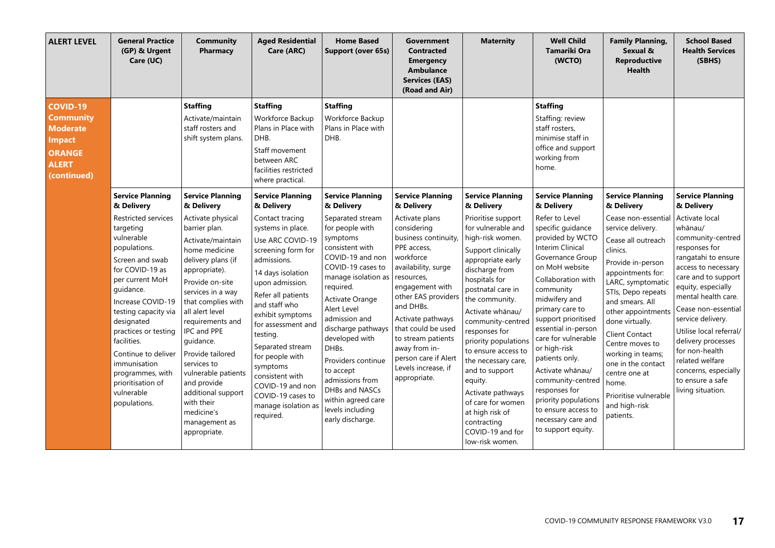| <b>ALERT LEVEL</b>                                                                                               | <b>General Practice</b><br>(GP) & Urgent<br>Care (UC)                                                                                                                                                                                                                                                                                                       | <b>Community</b><br>Pharmacy                                                                                                                                                                                                                                                                                                                                                                                 | <b>Aged Residential</b><br>Care (ARC)                                                                                                                                                                                                                                                                                                                                                 | <b>Home Based</b><br>Support (over 65s)                                                                                                                                                                                                                                                                                                                                                   | <b>Government</b><br><b>Contracted</b><br><b>Emergency</b><br><b>Ambulance</b><br><b>Services (EAS)</b><br>(Road and Air)                                                                                                                                                                                                      | <b>Maternity</b>                                                                                                                                                                                                                                                                                                                                                                                                                                                  | <b>Well Child</b><br><b>Tamariki Ora</b><br>(WCTO)                                                                                                                                                                                                                                                                                                                                                                                                          | <b>Family Planning,</b><br>Sexual &<br><b>Reproductive</b><br><b>Health</b>                                                                                                                                                                                                                                                                                                                         | <b>School Based</b><br><b>Health Services</b><br>(SBHS)                                                                                                                                                                                                                                                                                                                              |
|------------------------------------------------------------------------------------------------------------------|-------------------------------------------------------------------------------------------------------------------------------------------------------------------------------------------------------------------------------------------------------------------------------------------------------------------------------------------------------------|--------------------------------------------------------------------------------------------------------------------------------------------------------------------------------------------------------------------------------------------------------------------------------------------------------------------------------------------------------------------------------------------------------------|---------------------------------------------------------------------------------------------------------------------------------------------------------------------------------------------------------------------------------------------------------------------------------------------------------------------------------------------------------------------------------------|-------------------------------------------------------------------------------------------------------------------------------------------------------------------------------------------------------------------------------------------------------------------------------------------------------------------------------------------------------------------------------------------|--------------------------------------------------------------------------------------------------------------------------------------------------------------------------------------------------------------------------------------------------------------------------------------------------------------------------------|-------------------------------------------------------------------------------------------------------------------------------------------------------------------------------------------------------------------------------------------------------------------------------------------------------------------------------------------------------------------------------------------------------------------------------------------------------------------|-------------------------------------------------------------------------------------------------------------------------------------------------------------------------------------------------------------------------------------------------------------------------------------------------------------------------------------------------------------------------------------------------------------------------------------------------------------|-----------------------------------------------------------------------------------------------------------------------------------------------------------------------------------------------------------------------------------------------------------------------------------------------------------------------------------------------------------------------------------------------------|--------------------------------------------------------------------------------------------------------------------------------------------------------------------------------------------------------------------------------------------------------------------------------------------------------------------------------------------------------------------------------------|
| <b>COVID-19</b><br><b>Community</b><br><b>Moderate</b><br><b>Impact</b><br>ORANGE<br><b>ALERT</b><br>(continued) |                                                                                                                                                                                                                                                                                                                                                             | <b>Staffing</b><br>Activate/maintain<br>staff rosters and<br>shift system plans.                                                                                                                                                                                                                                                                                                                             | <b>Staffing</b><br>Workforce Backup<br>Plans in Place with<br>DHB.<br>Staff movement<br>between ARC<br>facilities restricted<br>where practical.                                                                                                                                                                                                                                      | <b>Staffing</b><br>Workforce Backup<br>Plans in Place with<br><b>DHB</b>                                                                                                                                                                                                                                                                                                                  |                                                                                                                                                                                                                                                                                                                                |                                                                                                                                                                                                                                                                                                                                                                                                                                                                   | <b>Staffing</b><br>Staffing: review<br>staff rosters,<br>minimise staff in<br>office and support<br>working from<br>home.                                                                                                                                                                                                                                                                                                                                   |                                                                                                                                                                                                                                                                                                                                                                                                     |                                                                                                                                                                                                                                                                                                                                                                                      |
|                                                                                                                  | <b>Service Planning</b><br>& Delivery                                                                                                                                                                                                                                                                                                                       | <b>Service Planning</b><br>& Delivery                                                                                                                                                                                                                                                                                                                                                                        | <b>Service Planning</b><br>& Delivery                                                                                                                                                                                                                                                                                                                                                 | <b>Service Planning</b><br>& Delivery                                                                                                                                                                                                                                                                                                                                                     | <b>Service Planning</b><br>& Delivery                                                                                                                                                                                                                                                                                          | <b>Service Planning</b><br>& Delivery                                                                                                                                                                                                                                                                                                                                                                                                                             | <b>Service Planning</b><br>& Delivery                                                                                                                                                                                                                                                                                                                                                                                                                       | <b>Service Planning</b><br>& Delivery                                                                                                                                                                                                                                                                                                                                                               | <b>Service Planning</b><br>& Delivery                                                                                                                                                                                                                                                                                                                                                |
|                                                                                                                  | <b>Restricted services</b><br>targeting<br>vulnerable<br>populations.<br>Screen and swab<br>for COVID-19 as<br>per current MoH<br>quidance.<br>Increase COVID-19<br>testing capacity via<br>designated<br>practices or testing<br>facilities.<br>Continue to deliver<br>immunisation<br>programmes, with<br>prioritisation of<br>vulnerable<br>populations. | Activate physical<br>barrier plan.<br>Activate/maintain<br>home medicine<br>delivery plans (if<br>appropriate).<br>Provide on-site<br>services in a way<br>that complies with<br>all alert level<br>requirements and<br>IPC and PPE<br>quidance.<br>Provide tailored<br>services to<br>vulnerable patients<br>and provide<br>additional support<br>with their<br>medicine's<br>management as<br>appropriate. | Contact tracing<br>systems in place.<br>Use ARC COVID-19<br>screening form for<br>admissions.<br>14 days isolation<br>upon admission.<br>Refer all patients<br>and staff who<br>exhibit symptoms<br>for assessment and<br>testing.<br>Separated stream<br>for people with<br>symptoms<br>consistent with<br>COVID-19 and non<br>COVID-19 cases to<br>manage isolation as<br>required. | Separated stream<br>for people with<br>symptoms<br>consistent with<br>COVID-19 and non<br>COVID-19 cases to<br>manage isolation as<br>required.<br>Activate Orange<br>Alert Level<br>admission and<br>discharge pathways<br>developed with<br>DHBs.<br>Providers continue<br>to accept<br>admissions from<br>DHBs and NASCs<br>within agreed care<br>levels including<br>early discharge. | Activate plans<br>considering<br>business continuity,<br>PPE access.<br>workforce<br>availability, surge<br>resources,<br>engagement with<br>other EAS providers<br>and DHBs.<br>Activate pathways<br>that could be used<br>to stream patients<br>away from in-<br>person care if Alert<br>Levels increase, if<br>appropriate. | Prioritise support<br>for vulnerable and<br>high-risk women.<br>Support clinically<br>appropriate early<br>discharge from<br>hospitals for<br>postnatal care in<br>the community.<br>Activate whānau/<br>community-centred<br>responses for<br>priority populations<br>to ensure access to<br>the necessary care,<br>and to support<br>equity.<br>Activate pathways<br>of care for women<br>at high risk of<br>contracting<br>COVID-19 and for<br>low-risk women. | Refer to Level<br>specific guidance<br>provided by WCTO<br><b>Interim Clinical</b><br>Governance Group<br>on MoH website<br>Collaboration with<br>community<br>midwifery and<br>primary care to<br>support prioritised<br>essential in-person<br>care for vulnerable<br>or high-risk<br>patients only.<br>Activate whānau/<br>community-centred<br>responses for<br>priority populations<br>to ensure access to<br>necessary care and<br>to support equity. | Cease non-essential<br>service delivery.<br>Cease all outreach<br>clinics.<br>Provide in-person<br>appointments for:<br>LARC, symptomatic<br>STIs, Depo repeats<br>and smears. All<br>other appointments<br>done virtually.<br><b>Client Contact</b><br>Centre moves to<br>working in teams;<br>one in the contact<br>centre one at<br>home.<br>Prioritise vulnerable<br>and high-risk<br>patients. | Activate local<br>whānau/<br>community-centred<br>responses for<br>rangatahi to ensure<br>access to necessary<br>care and to support<br>equity, especially<br>mental health care.<br>Cease non-essential<br>service delivery.<br>Utilise local referral/<br>delivery processes<br>for non-health<br>related welfare<br>concerns, especially<br>to ensure a safe<br>living situation. |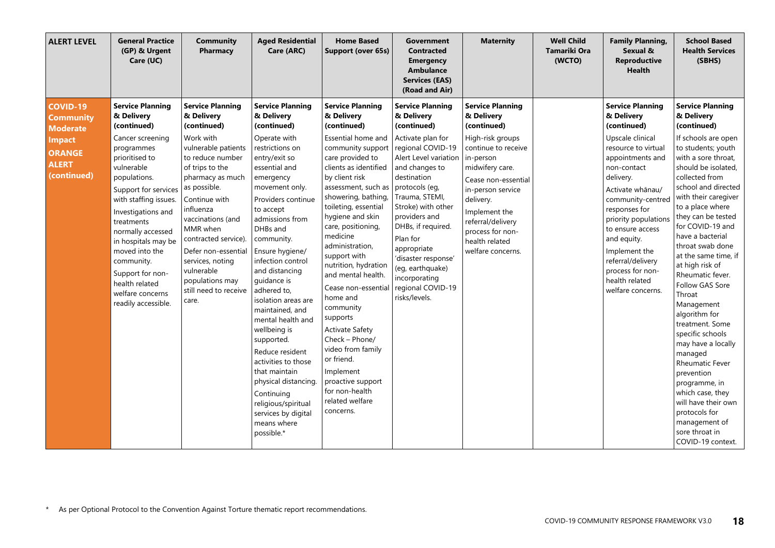| <b>ALERT LEVEL</b>                                                                                                      | <b>General Practice</b><br>(GP) & Urgent<br>Care (UC)                                                                                                                                                                                                                                                                                                                                    | <b>Community</b><br>Pharmacy                                                                                                                                                                                                                                                                                                                                             | <b>Aged Residential</b><br>Care (ARC)                                                                                                                                                                                                                                                                                                                                                                                                                                                                                                                                                                     | <b>Home Based</b><br>Support (over 65s)                                                                                                                                                                                                                                                                                                                                                                                                                                                                                                                                                                    | <b>Government</b><br><b>Contracted</b><br><b>Emergency</b><br><b>Ambulance</b><br><b>Services (EAS)</b><br>(Road and Air)                                                                                                                                                                                                                                                              | <b>Maternity</b>                                                                                                                                                                                                                                                                          | <b>Well Child</b><br>Tamariki Ora<br>(WCTO) | <b>Family Planning,</b><br>Sexual &<br><b>Reproductive</b><br><b>Health</b>                                                                                                                                                                                                                                                                                           | <b>School Based</b><br><b>Health Services</b><br>(SBHS)                                                                                                                                                                                                                                                                                                                                                                                                                                                                                                                                                                                                                                                |
|-------------------------------------------------------------------------------------------------------------------------|------------------------------------------------------------------------------------------------------------------------------------------------------------------------------------------------------------------------------------------------------------------------------------------------------------------------------------------------------------------------------------------|--------------------------------------------------------------------------------------------------------------------------------------------------------------------------------------------------------------------------------------------------------------------------------------------------------------------------------------------------------------------------|-----------------------------------------------------------------------------------------------------------------------------------------------------------------------------------------------------------------------------------------------------------------------------------------------------------------------------------------------------------------------------------------------------------------------------------------------------------------------------------------------------------------------------------------------------------------------------------------------------------|------------------------------------------------------------------------------------------------------------------------------------------------------------------------------------------------------------------------------------------------------------------------------------------------------------------------------------------------------------------------------------------------------------------------------------------------------------------------------------------------------------------------------------------------------------------------------------------------------------|----------------------------------------------------------------------------------------------------------------------------------------------------------------------------------------------------------------------------------------------------------------------------------------------------------------------------------------------------------------------------------------|-------------------------------------------------------------------------------------------------------------------------------------------------------------------------------------------------------------------------------------------------------------------------------------------|---------------------------------------------|-----------------------------------------------------------------------------------------------------------------------------------------------------------------------------------------------------------------------------------------------------------------------------------------------------------------------------------------------------------------------|--------------------------------------------------------------------------------------------------------------------------------------------------------------------------------------------------------------------------------------------------------------------------------------------------------------------------------------------------------------------------------------------------------------------------------------------------------------------------------------------------------------------------------------------------------------------------------------------------------------------------------------------------------------------------------------------------------|
| <b>COVID-19</b><br><b>Community</b><br><b>Moderate</b><br><b>Impact</b><br><b>ORANGE</b><br><b>ALERT</b><br>(continued) | <b>Service Planning</b><br>& Delivery<br>(continued)<br>Cancer screening<br>programmes<br>prioritised to<br>vulnerable<br>populations.<br>Support for services<br>with staffing issues.<br>Investigations and<br>treatments<br>normally accessed<br>in hospitals may be<br>moved into the<br>community.<br>Support for non-<br>health related<br>welfare concerns<br>readily accessible. | <b>Service Planning</b><br>& Delivery<br>(continued)<br>Work with<br>vulnerable patients<br>to reduce number<br>of trips to the<br>pharmacy as much<br>as possible.<br>Continue with<br>influenza<br>vaccinations (and<br>MMR when<br>contracted service).<br>Defer non-essential<br>services, noting<br>vulnerable<br>populations may<br>still need to receive<br>care. | <b>Service Planning</b><br>& Delivery<br>(continued)<br>Operate with<br>restrictions on<br>entry/exit so<br>essential and<br>emergency<br>movement only.<br>Providers continue<br>to accept<br>admissions from<br>DHBs and<br>community.<br>Ensure hygiene/<br>infection control<br>and distancing<br>quidance is<br>adhered to,<br>isolation areas are<br>maintained, and<br>mental health and<br>wellbeing is<br>supported.<br>Reduce resident<br>activities to those<br>that maintain<br>physical distancing.<br>Continuing<br>religious/spiritual<br>services by digital<br>means where<br>possible.* | <b>Service Planning</b><br>& Delivery<br>(continued)<br>Essential home and<br>community support<br>care provided to<br>clients as identified<br>by client risk<br>assessment, such as<br>showering, bathing,<br>toileting, essential<br>hygiene and skin<br>care, positioning,<br>medicine<br>administration,<br>support with<br>nutrition, hydration<br>and mental health.<br>Cease non-essential<br>home and<br>community<br>supports<br><b>Activate Safety</b><br>Check - Phone/<br>video from family<br>or friend.<br>Implement<br>proactive support<br>for non-health<br>related welfare<br>concerns. | <b>Service Planning</b><br>& Delivery<br>(continued)<br>Activate plan for<br>regional COVID-19<br>Alert Level variation<br>and changes to<br>destination<br>protocols (eg,<br>Trauma, STEMI,<br>Stroke) with other<br>providers and<br>DHBs, if required.<br>Plan for<br>appropriate<br>'disaster response'<br>(eg, earthquake)<br>incorporating<br>regional COVID-19<br>risks/levels. | <b>Service Planning</b><br>& Delivery<br>(continued)<br>High-risk groups<br>continue to receive<br>in-person<br>midwifery care.<br>Cease non-essential<br>in-person service<br>delivery.<br>Implement the<br>referral/delivery<br>process for non-<br>health related<br>welfare concerns. |                                             | <b>Service Planning</b><br>& Delivery<br>(continued)<br>Upscale clinical<br>resource to virtual<br>appointments and<br>non-contact<br>delivery.<br>Activate whānau/<br>community-centred<br>responses for<br>priority populations<br>to ensure access<br>and equity.<br>Implement the<br>referral/delivery<br>process for non-<br>health related<br>welfare concerns. | <b>Service Planning</b><br>& Delivery<br>(continued)<br>If schools are open<br>to students; youth<br>with a sore throat,<br>should be isolated,<br>collected from<br>school and directed<br>with their caregiver<br>to a place where<br>they can be tested<br>for COVID-19 and<br>have a bacterial<br>throat swab done<br>at the same time, if<br>at high risk of<br>Rheumatic fever.<br>Follow GAS Sore<br>Throat<br>Management<br>algorithm for<br>treatment. Some<br>specific schools<br>may have a locally<br>managed<br><b>Rheumatic Fever</b><br>prevention<br>programme, in<br>which case, they<br>will have their own<br>protocols for<br>management of<br>sore throat in<br>COVID-19 context. |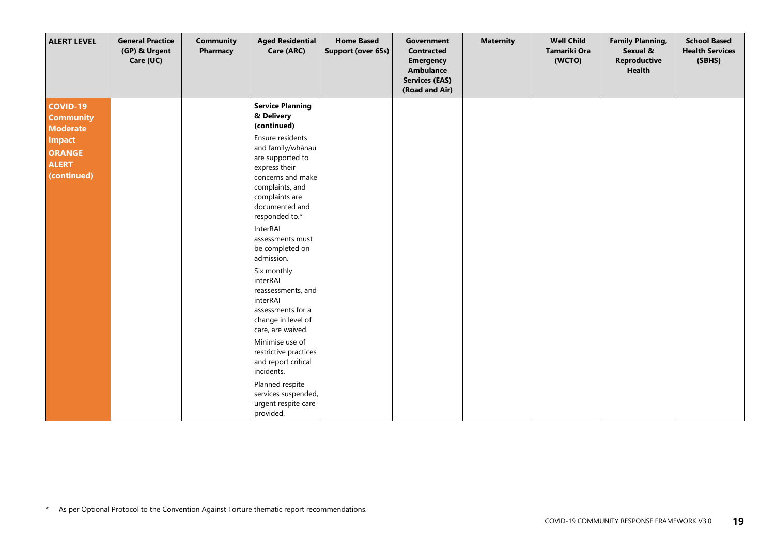| <b>ALERT LEVEL</b>                                                                                               | <b>General Practice</b><br>(GP) & Urgent<br>Care (UC) | <b>Community</b><br>Pharmacy | <b>Aged Residential</b><br>Care (ARC)                                                                                                                                                                                                                                                                                                                                                                                                                                                                                                                     | <b>Home Based</b><br>Support (over 65s) | Government<br><b>Contracted</b><br><b>Emergency</b><br><b>Ambulance</b><br><b>Services (EAS)</b><br>(Road and Air) | <b>Maternity</b> | <b>Well Child</b><br>Tamariki Ora<br>(WCTO) | <b>Family Planning,</b><br>Sexual &<br>Reproductive<br><b>Health</b> | <b>School Based</b><br><b>Health Services</b><br>(SBHS) |
|------------------------------------------------------------------------------------------------------------------|-------------------------------------------------------|------------------------------|-----------------------------------------------------------------------------------------------------------------------------------------------------------------------------------------------------------------------------------------------------------------------------------------------------------------------------------------------------------------------------------------------------------------------------------------------------------------------------------------------------------------------------------------------------------|-----------------------------------------|--------------------------------------------------------------------------------------------------------------------|------------------|---------------------------------------------|----------------------------------------------------------------------|---------------------------------------------------------|
| <b>COVID-19</b><br><b>Community</b><br><b>Moderate</b><br>Impact<br><b>ORANGE</b><br><b>ALERT</b><br>(continued) |                                                       |                              | <b>Service Planning</b><br>& Delivery<br>(continued)<br>Ensure residents<br>and family/whānau<br>are supported to<br>express their<br>concerns and make<br>complaints, and<br>complaints are<br>documented and<br>responded to.*<br>InterRAI<br>assessments must<br>be completed on<br>admission.<br>Six monthly<br>interRAI<br>reassessments, and<br>interRAI<br>assessments for a<br>change in level of<br>care, are waived.<br>Minimise use of<br>restrictive practices<br>and report critical<br>incidents.<br>Planned respite<br>services suspended, |                                         |                                                                                                                    |                  |                                             |                                                                      |                                                         |
|                                                                                                                  |                                                       |                              | urgent respite care<br>provided.                                                                                                                                                                                                                                                                                                                                                                                                                                                                                                                          |                                         |                                                                                                                    |                  |                                             |                                                                      |                                                         |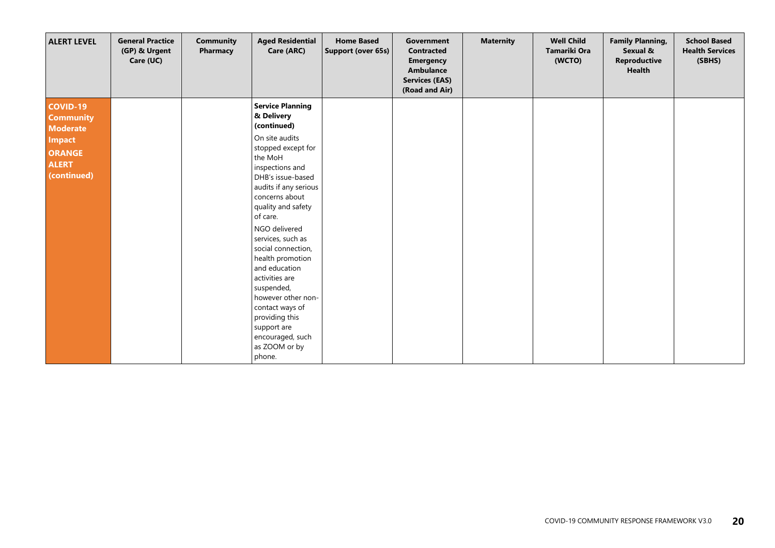| <b>ALERT LEVEL</b>                                                                                               | <b>General Practice</b><br>(GP) & Urgent<br>Care (UC) | <b>Community</b><br>Pharmacy | <b>Aged Residential</b><br>Care (ARC)                                                                                                                                                                                                                                                                                                                                                                                                                                                  | <b>Home Based</b><br><b>Support (over 65s)</b> | Government<br><b>Contracted</b><br><b>Emergency</b><br>Ambulance<br><b>Services (EAS)</b><br>(Road and Air) | <b>Maternity</b> | <b>Well Child</b><br><b>Tamariki Ora</b><br>(WCTO) | <b>Family Planning,</b><br>Sexual &<br><b>Reproductive</b><br><b>Health</b> | <b>School Based</b><br><b>Health Services</b><br>(SBHS) |
|------------------------------------------------------------------------------------------------------------------|-------------------------------------------------------|------------------------------|----------------------------------------------------------------------------------------------------------------------------------------------------------------------------------------------------------------------------------------------------------------------------------------------------------------------------------------------------------------------------------------------------------------------------------------------------------------------------------------|------------------------------------------------|-------------------------------------------------------------------------------------------------------------|------------------|----------------------------------------------------|-----------------------------------------------------------------------------|---------------------------------------------------------|
| COVID-19<br><b>Community</b><br><b>Moderate</b><br><b>Impact</b><br><b>ORANGE</b><br><b>ALERT</b><br>(continued) |                                                       |                              | <b>Service Planning</b><br>& Delivery<br>(continued)<br>On site audits<br>stopped except for<br>the MoH<br>inspections and<br>DHB's issue-based<br>audits if any serious<br>concerns about<br>quality and safety<br>of care.<br>NGO delivered<br>services, such as<br>social connection,<br>health promotion<br>and education<br>activities are<br>suspended,<br>however other non-<br>contact ways of<br>providing this<br>support are<br>encouraged, such<br>as ZOOM or by<br>phone. |                                                |                                                                                                             |                  |                                                    |                                                                             |                                                         |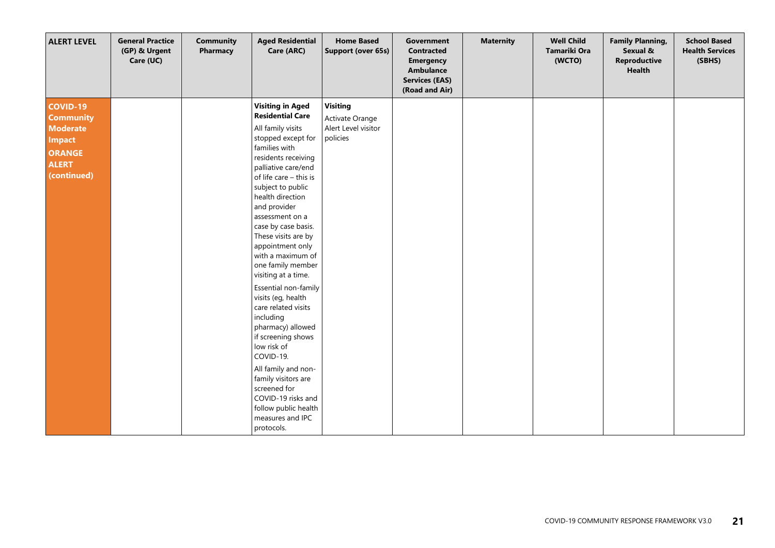| <b>ALERT LEVEL</b>                                                                                                      | <b>General Practice</b><br>(GP) & Urgent<br>Care (UC) | <b>Community</b><br>Pharmacy | <b>Aged Residential</b><br>Care (ARC)                                                                                                                                                                                                                                                                                                                                                                                                                                                                                                                                                                                                                                                                        | <b>Home Based</b><br>Support (over 65s)                               | Government<br><b>Contracted</b><br><b>Emergency</b><br><b>Ambulance</b><br><b>Services (EAS)</b><br>(Road and Air) | <b>Maternity</b> | <b>Well Child</b><br>Tamariki Ora<br>(WCTO) | <b>Family Planning,</b><br>Sexual &<br><b>Reproductive</b><br><b>Health</b> | <b>School Based</b><br><b>Health Services</b><br>(SBHS) |
|-------------------------------------------------------------------------------------------------------------------------|-------------------------------------------------------|------------------------------|--------------------------------------------------------------------------------------------------------------------------------------------------------------------------------------------------------------------------------------------------------------------------------------------------------------------------------------------------------------------------------------------------------------------------------------------------------------------------------------------------------------------------------------------------------------------------------------------------------------------------------------------------------------------------------------------------------------|-----------------------------------------------------------------------|--------------------------------------------------------------------------------------------------------------------|------------------|---------------------------------------------|-----------------------------------------------------------------------------|---------------------------------------------------------|
| <b>COVID-19</b><br><b>Community</b><br><b>Moderate</b><br><b>Impact</b><br><b>ORANGE</b><br><b>ALERT</b><br>(continued) |                                                       |                              | <b>Visiting in Aged</b><br><b>Residential Care</b><br>All family visits<br>stopped except for<br>families with<br>residents receiving<br>palliative care/end<br>of life care - this is<br>subject to public<br>health direction<br>and provider<br>assessment on a<br>case by case basis.<br>These visits are by<br>appointment only<br>with a maximum of<br>one family member<br>visiting at a time.<br>Essential non-family<br>visits (eg, health<br>care related visits<br>including<br>pharmacy) allowed<br>if screening shows<br>low risk of<br>COVID-19.<br>All family and non-<br>family visitors are<br>screened for<br>COVID-19 risks and<br>follow public health<br>measures and IPC<br>protocols. | <b>Visiting</b><br>Activate Orange<br>Alert Level visitor<br>policies |                                                                                                                    |                  |                                             |                                                                             |                                                         |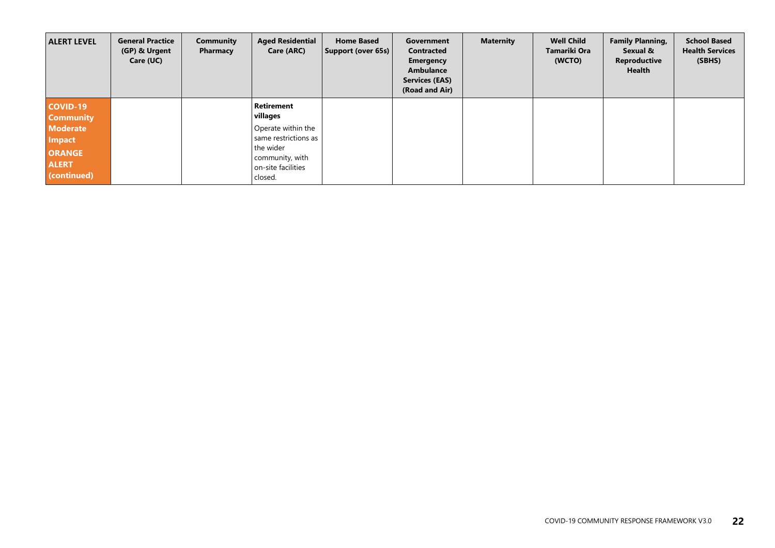| <b>ALERT LEVEL</b>                                                               | <b>General Practice</b><br>(GP) & Urgent<br>Care (UC) | <b>Community</b><br>Pharmacy | <b>Aged Residential</b><br>Care (ARC)                                                                       | <b>Home Based</b><br>Support (over 65s) | Government<br><b>Contracted</b><br><b>Emergency</b><br>Ambulance<br><b>Services (EAS)</b><br>(Road and Air) | <b>Maternity</b> | <b>Well Child</b><br>Tamariki Ora<br>(WCTO) | <b>Family Planning,</b><br>Sexual &<br><b>Reproductive</b><br>Health | <b>School Based</b><br><b>Health Services</b><br>(SBHS) |
|----------------------------------------------------------------------------------|-------------------------------------------------------|------------------------------|-------------------------------------------------------------------------------------------------------------|-----------------------------------------|-------------------------------------------------------------------------------------------------------------|------------------|---------------------------------------------|----------------------------------------------------------------------|---------------------------------------------------------|
| <b>COVID-19</b><br><b>Community</b>                                              |                                                       |                              | <b>Retirement</b><br>villages                                                                               |                                         |                                                                                                             |                  |                                             |                                                                      |                                                         |
| <b>Moderate</b><br><b>Impact</b><br><b>ORANGE</b><br><b>ALERT</b><br>(continued) |                                                       |                              | Operate within the<br>same restrictions as<br>the wider<br>community, with<br>on-site facilities<br>closed. |                                         |                                                                                                             |                  |                                             |                                                                      |                                                         |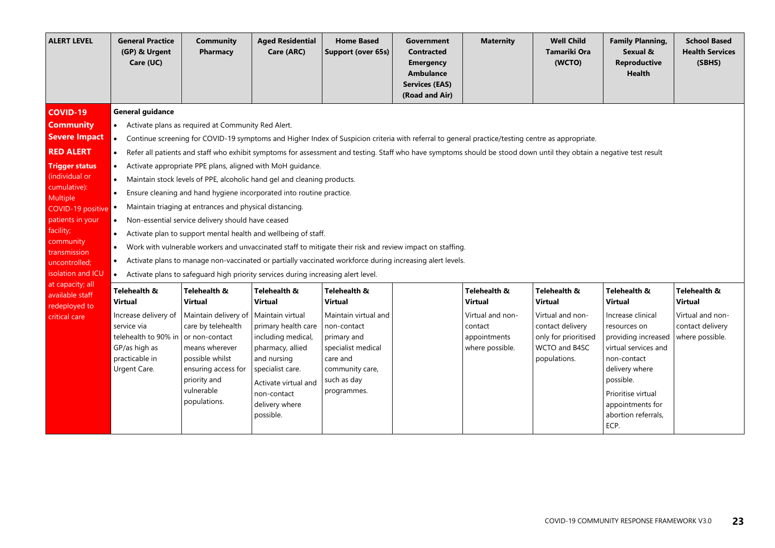| <b>ALERT LEVEL</b>                                                                                                                                                                                                                                                                     | <b>General Practice</b><br>(GP) & Urgent<br>Care (UC)                                                                                                                                                                                                                                                                                                                                                                                                                                                                                                                                                                                                                                                                                                                                                                                                                                                                                                                                                                                                                                                                                                                                                          | <b>Community</b><br>Pharmacy                                                                                                                                                                             | <b>Aged Residential</b><br>Care (ARC)                                                                                                                                                                                        | <b>Home Based</b><br>Support (over 65s)                                                                                                                          | <b>Government</b><br><b>Contracted</b><br><b>Emergency</b><br><b>Ambulance</b><br><b>Services (EAS)</b><br>(Road and Air) | <b>Maternity</b>                                                                                 | <b>Well Child</b><br>Tamariki Ora<br>(WCTO)                                                                                     | <b>Family Planning,</b><br>Sexual &<br><b>Reproductive</b><br><b>Health</b>                                                                                                                                                               | <b>School Based</b><br><b>Health Services</b><br>(SBHS)                                   |  |  |
|----------------------------------------------------------------------------------------------------------------------------------------------------------------------------------------------------------------------------------------------------------------------------------------|----------------------------------------------------------------------------------------------------------------------------------------------------------------------------------------------------------------------------------------------------------------------------------------------------------------------------------------------------------------------------------------------------------------------------------------------------------------------------------------------------------------------------------------------------------------------------------------------------------------------------------------------------------------------------------------------------------------------------------------------------------------------------------------------------------------------------------------------------------------------------------------------------------------------------------------------------------------------------------------------------------------------------------------------------------------------------------------------------------------------------------------------------------------------------------------------------------------|----------------------------------------------------------------------------------------------------------------------------------------------------------------------------------------------------------|------------------------------------------------------------------------------------------------------------------------------------------------------------------------------------------------------------------------------|------------------------------------------------------------------------------------------------------------------------------------------------------------------|---------------------------------------------------------------------------------------------------------------------------|--------------------------------------------------------------------------------------------------|---------------------------------------------------------------------------------------------------------------------------------|-------------------------------------------------------------------------------------------------------------------------------------------------------------------------------------------------------------------------------------------|-------------------------------------------------------------------------------------------|--|--|
| <b>COVID-19</b><br><b>Community</b><br><b>Severe Impact</b><br><b>RED ALERT</b><br><b>Trigger status</b><br>(individual or<br>cumulative):<br><b>Multiple</b><br>COVID-19 positive<br>patients in your<br>facility;<br>community<br>transmission<br>uncontrolled;<br>isolation and ICU | <b>General guidance</b><br>• Activate plans as required at Community Red Alert.<br>Continue screening for COVID-19 symptoms and Higher Index of Suspicion criteria with referral to general practice/testing centre as appropriate.<br>$\bullet$<br>Refer all patients and staff who exhibit symptoms for assessment and testing. Staff who have symptoms should be stood down until they obtain a negative test result<br>Activate appropriate PPE plans, aligned with MoH guidance.<br>$\bullet$<br>• Maintain stock levels of PPE, alcoholic hand gel and cleaning products.<br>Ensure cleaning and hand hygiene incorporated into routine practice.<br>Maintain triaging at entrances and physical distancing.<br>Non-essential service delivery should have ceased<br>$\bullet$<br>Activate plan to support mental health and wellbeing of staff.<br>$\bullet$<br>Work with vulnerable workers and unvaccinated staff to mitigate their risk and review impact on staffing.<br>$\bullet$<br>Activate plans to manage non-vaccinated or partially vaccinated workforce during increasing alert levels.<br>$\bullet$<br>• Activate plans to safeguard high priority services during increasing alert level. |                                                                                                                                                                                                          |                                                                                                                                                                                                                              |                                                                                                                                                                  |                                                                                                                           |                                                                                                  |                                                                                                                                 |                                                                                                                                                                                                                                           |                                                                                           |  |  |
| at capacity; all<br>available staff<br>redeployed to<br>critical care                                                                                                                                                                                                                  | Telehealth &<br><b>Virtual</b><br>Increase delivery of<br>service via<br>telehealth to 90% in<br>GP/as high as<br>practicable in<br>Urgent Care.                                                                                                                                                                                                                                                                                                                                                                                                                                                                                                                                                                                                                                                                                                                                                                                                                                                                                                                                                                                                                                                               | Telehealth &<br><b>Virtual</b><br>Maintain delivery of<br>care by telehealth<br>or non-contact<br>means wherever<br>possible whilst<br>ensuring access for<br>priority and<br>vulnerable<br>populations. | Telehealth &<br><b>Virtual</b><br>Maintain virtual<br>primary health care<br>including medical,<br>pharmacy, allied<br>and nursing<br>specialist care.<br>Activate virtual and<br>non-contact<br>delivery where<br>possible. | Telehealth &<br>Virtual<br>Maintain virtual and<br>non-contact<br>primary and<br>specialist medical<br>care and<br>community care,<br>such as day<br>programmes. |                                                                                                                           | Telehealth &<br><b>Virtual</b><br>Virtual and non-<br>contact<br>appointments<br>where possible. | Telehealth &<br><b>Virtual</b><br>Virtual and non-<br>contact delivery<br>only for prioritised<br>WCTO and B4SC<br>populations. | Telehealth &<br><b>Virtual</b><br>Increase clinical<br>resources on<br>providing increased<br>virtual services and<br>non-contact<br>delivery where<br>possible.<br>Prioritise virtual<br>appointments for<br>abortion referrals,<br>ECP. | Telehealth &<br><b>Virtual</b><br>Virtual and non-<br>contact delivery<br>where possible. |  |  |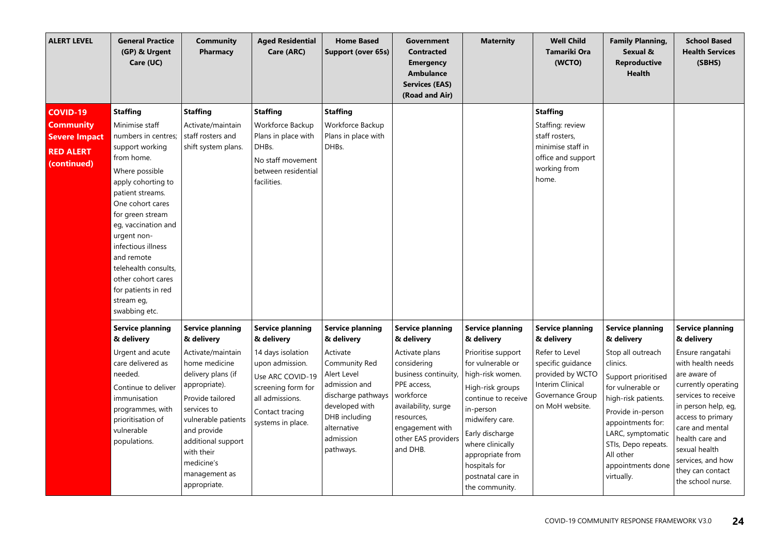| <b>ALERT LEVEL</b>                                                                             | <b>General Practice</b><br>(GP) & Urgent<br>Care (UC)                                                                                                                                                                                                                                                                                                                       | <b>Community</b><br>Pharmacy                                                                                                                                                                                                                                                   | <b>Aged Residential</b><br>Care (ARC)                                                                                                                                              | <b>Home Based</b><br>Support (over 65s)                                                                                                                                                              | Government<br><b>Contracted</b><br><b>Emergency</b><br>Ambulance<br><b>Services (EAS)</b><br>(Road and Air)                                                                                                          | <b>Maternity</b>                                                                                                                                                                                                                                                                                   | <b>Well Child</b><br><b>Tamariki Ora</b><br>(WCTO)                                                                                                          | <b>Family Planning,</b><br>Sexual &<br><b>Reproductive</b><br><b>Health</b>                                                                                                                                                                                                     | <b>School Based</b><br><b>Health Services</b><br>(SBHS)                                                                                                                                                                                                                                                       |
|------------------------------------------------------------------------------------------------|-----------------------------------------------------------------------------------------------------------------------------------------------------------------------------------------------------------------------------------------------------------------------------------------------------------------------------------------------------------------------------|--------------------------------------------------------------------------------------------------------------------------------------------------------------------------------------------------------------------------------------------------------------------------------|------------------------------------------------------------------------------------------------------------------------------------------------------------------------------------|------------------------------------------------------------------------------------------------------------------------------------------------------------------------------------------------------|----------------------------------------------------------------------------------------------------------------------------------------------------------------------------------------------------------------------|----------------------------------------------------------------------------------------------------------------------------------------------------------------------------------------------------------------------------------------------------------------------------------------------------|-------------------------------------------------------------------------------------------------------------------------------------------------------------|---------------------------------------------------------------------------------------------------------------------------------------------------------------------------------------------------------------------------------------------------------------------------------|---------------------------------------------------------------------------------------------------------------------------------------------------------------------------------------------------------------------------------------------------------------------------------------------------------------|
| <b>COVID-19</b><br><b>Community</b><br><b>Severe Impact</b><br><b>RED ALERT</b><br>(continued) | <b>Staffing</b><br>Minimise staff<br>numbers in centres;<br>support working<br>from home.<br>Where possible<br>apply cohorting to<br>patient streams.<br>One cohort cares<br>for green stream<br>eg, vaccination and<br>urgent non-<br>infectious illness<br>and remote<br>telehealth consults,<br>other cohort cares<br>for patients in red<br>stream eg,<br>swabbing etc. | <b>Staffing</b><br>Activate/maintain<br>staff rosters and<br>shift system plans.                                                                                                                                                                                               | <b>Staffing</b><br>Workforce Backup<br>Plans in place with<br>DHBs.<br>No staff movement<br>between residential<br>facilities.                                                     | <b>Staffing</b><br>Workforce Backup<br>Plans in place with<br>DHBs.                                                                                                                                  |                                                                                                                                                                                                                      |                                                                                                                                                                                                                                                                                                    | <b>Staffing</b><br>Staffing: review<br>staff rosters,<br>minimise staff in<br>office and support<br>working from<br>home.                                   |                                                                                                                                                                                                                                                                                 |                                                                                                                                                                                                                                                                                                               |
|                                                                                                | <b>Service planning</b><br>& delivery<br>Urgent and acute<br>care delivered as<br>needed.<br>Continue to deliver<br>immunisation<br>programmes, with<br>prioritisation of<br>vulnerable<br>populations.                                                                                                                                                                     | <b>Service planning</b><br>& delivery<br>Activate/maintain<br>home medicine<br>delivery plans (if<br>appropriate).<br>Provide tailored<br>services to<br>vulnerable patients<br>and provide<br>additional support<br>with their<br>medicine's<br>management as<br>appropriate. | <b>Service planning</b><br>& delivery<br>14 days isolation<br>upon admission.<br>Use ARC COVID-19<br>screening form for<br>all admissions.<br>Contact tracing<br>systems in place. | <b>Service planning</b><br>& delivery<br>Activate<br>Community Red<br>Alert Level<br>admission and<br>discharge pathways<br>developed with<br>DHB including<br>alternative<br>admission<br>pathways. | <b>Service planning</b><br>& delivery<br>Activate plans<br>considering<br>business continuity<br>PPE access,<br>workforce<br>availability, surge<br>resources,<br>engagement with<br>other EAS providers<br>and DHB. | <b>Service planning</b><br>& delivery<br>Prioritise support<br>for vulnerable or<br>high-risk women.<br>High-risk groups<br>continue to receive<br>in-person<br>midwifery care.<br>Early discharge<br>where clinically<br>appropriate from<br>hospitals for<br>postnatal care in<br>the community. | <b>Service planning</b><br>& delivery<br>Refer to Level<br>specific guidance<br>provided by WCTO<br>Interim Clinical<br>Governance Group<br>on MoH website. | <b>Service planning</b><br>& delivery<br>Stop all outreach<br>clinics.<br>Support prioritised<br>for vulnerable or<br>high-risk patients.<br>Provide in-person<br>appointments for:<br>LARC, symptomatic<br>STIs, Depo repeats.<br>All other<br>appointments done<br>virtually. | <b>Service planning</b><br>& delivery<br>Ensure rangatahi<br>with health needs<br>are aware of<br>currently operating<br>services to receive<br>in person help, eq,<br>access to primary<br>care and mental<br>health care and<br>sexual health<br>services, and how<br>they can contact<br>the school nurse. |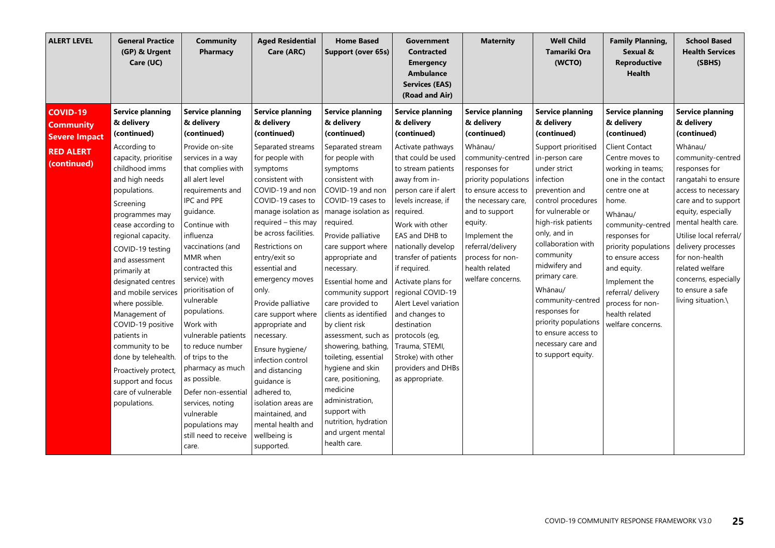| <b>ALERT LEVEL</b>                                                                             | <b>General Practice</b><br>(GP) & Urgent<br>Care (UC)                                                                                                                                                                                                                                                                                                                                                                                                                                                                               | <b>Community</b><br>Pharmacy                                                                                                                                                                                                                                                                                                                                                                                                                                                                                                                                             | <b>Aged Residential</b><br>Care (ARC)                                                                                                                                                                                                                                                                                                                                                                                                                                                                                                                                                          | <b>Home Based</b><br>Support (over 65s)                                                                                                                                                                                                                                                                                                                                                                                                                                                                                                                                                                                    | <b>Government</b><br><b>Contracted</b><br><b>Emergency</b><br><b>Ambulance</b><br><b>Services (EAS)</b><br>(Road and Air)                                                                                                                                                                                                                                                                                                                                                                                     | <b>Maternity</b>                                                                                                                                                                                                                                                                                          | <b>Well Child</b><br>Tamariki Ora<br>(WCTO)                                                                                                                                                                                                                                                                                                                                                                                                    | <b>Family Planning,</b><br>Sexual &<br><b>Reproductive</b><br><b>Health</b>                                                                                                                                                                                                                                                                                                  | <b>School Based</b><br><b>Health Services</b><br>(SBHS)                                                                                                                                                                                                                                                                                                                  |
|------------------------------------------------------------------------------------------------|-------------------------------------------------------------------------------------------------------------------------------------------------------------------------------------------------------------------------------------------------------------------------------------------------------------------------------------------------------------------------------------------------------------------------------------------------------------------------------------------------------------------------------------|--------------------------------------------------------------------------------------------------------------------------------------------------------------------------------------------------------------------------------------------------------------------------------------------------------------------------------------------------------------------------------------------------------------------------------------------------------------------------------------------------------------------------------------------------------------------------|------------------------------------------------------------------------------------------------------------------------------------------------------------------------------------------------------------------------------------------------------------------------------------------------------------------------------------------------------------------------------------------------------------------------------------------------------------------------------------------------------------------------------------------------------------------------------------------------|----------------------------------------------------------------------------------------------------------------------------------------------------------------------------------------------------------------------------------------------------------------------------------------------------------------------------------------------------------------------------------------------------------------------------------------------------------------------------------------------------------------------------------------------------------------------------------------------------------------------------|---------------------------------------------------------------------------------------------------------------------------------------------------------------------------------------------------------------------------------------------------------------------------------------------------------------------------------------------------------------------------------------------------------------------------------------------------------------------------------------------------------------|-----------------------------------------------------------------------------------------------------------------------------------------------------------------------------------------------------------------------------------------------------------------------------------------------------------|------------------------------------------------------------------------------------------------------------------------------------------------------------------------------------------------------------------------------------------------------------------------------------------------------------------------------------------------------------------------------------------------------------------------------------------------|------------------------------------------------------------------------------------------------------------------------------------------------------------------------------------------------------------------------------------------------------------------------------------------------------------------------------------------------------------------------------|--------------------------------------------------------------------------------------------------------------------------------------------------------------------------------------------------------------------------------------------------------------------------------------------------------------------------------------------------------------------------|
| <b>COVID-19</b><br><b>Community</b><br><b>Severe Impact</b><br><b>RED ALERT</b><br>(continued) | <b>Service planning</b><br>& delivery<br>(continued)<br>According to<br>capacity, prioritise<br>childhood imms<br>and high needs<br>populations.<br>Screening<br>programmes may<br>cease according to<br>regional capacity.<br>COVID-19 testing<br>and assessment<br>primarily at<br>designated centres<br>and mobile services<br>where possible.<br>Management of<br>COVID-19 positive<br>patients in<br>community to be<br>done by telehealth.<br>Proactively protect,<br>support and focus<br>care of vulnerable<br>populations. | <b>Service planning</b><br>& delivery<br>(continued)<br>Provide on-site<br>services in a way<br>that complies with<br>all alert level<br>requirements and<br>IPC and PPE<br>guidance.<br>Continue with<br>influenza<br>vaccinations (and<br>MMR when<br>contracted this<br>service) with<br>prioritisation of<br>vulnerable<br>populations.<br>Work with<br>vulnerable patients<br>to reduce number<br>of trips to the<br>pharmacy as much<br>as possible.<br>Defer non-essential<br>services, noting<br>vulnerable<br>populations may<br>still need to receive<br>care. | <b>Service planning</b><br>& delivery<br>(continued)<br>Separated streams<br>for people with<br>symptoms<br>consistent with<br>COVID-19 and non<br>COVID-19 cases to<br>manage isolation as<br>required - this may<br>be across facilities.<br>Restrictions on<br>entry/exit so<br>essential and<br>emergency moves<br>only.<br>Provide palliative<br>care support where<br>appropriate and<br>necessary.<br>Ensure hygiene/<br>infection control<br>and distancing<br>guidance is<br>adhered to,<br>isolation areas are<br>maintained, and<br>mental health and<br>wellbeing is<br>supported. | <b>Service planning</b><br>& delivery<br>(continued)<br>Separated stream<br>for people with<br>symptoms<br>consistent with<br>COVID-19 and non<br>COVID-19 cases to<br>manage isolation as<br>required.<br>Provide palliative<br>care support where<br>appropriate and<br>necessary.<br>Essential home and<br>community support<br>care provided to<br>clients as identified<br>by client risk<br>assessment, such as<br>showering, bathing,<br>toileting, essential<br>hygiene and skin<br>care, positioning,<br>medicine<br>administration,<br>support with<br>nutrition, hydration<br>and urgent mental<br>health care. | <b>Service planning</b><br>& delivery<br>(continued)<br>Activate pathways<br>that could be used<br>to stream patients<br>away from in-<br>person care if alert<br>levels increase, if<br>required.<br>Work with other<br>EAS and DHB to<br>nationally develop<br>transfer of patients<br>if required.<br>Activate plans for<br>regional COVID-19<br>Alert Level variation<br>and changes to<br>destination<br>protocols (eq,<br>Trauma, STEMI,<br>Stroke) with other<br>providers and DHBs<br>as appropriate. | <b>Service planning</b><br>& delivery<br>(continued)<br>Whānau/<br>community-centred<br>responses for<br>priority populations<br>to ensure access to<br>the necessary care,<br>and to support<br>equity.<br>Implement the<br>referral/delivery<br>process for non-<br>health related<br>welfare concerns. | <b>Service planning</b><br>& delivery<br>(continued)<br>Support prioritised<br>in-person care<br>under strict<br>infection<br>prevention and<br>control procedures<br>for vulnerable or<br>high-risk patients<br>only, and in<br>collaboration with<br>community<br>midwifery and<br>primary care.<br>Whānau/<br>community-centred<br>responses for<br>priority populations<br>to ensure access to<br>necessary care and<br>to support equity. | <b>Service planning</b><br>& delivery<br>(continued)<br>Client Contact<br>Centre moves to<br>working in teams;<br>one in the contact<br>centre one at<br>home.<br>Whānau/<br>community-centred<br>responses for<br>priority populations<br>to ensure access<br>and equity.<br>Implement the<br>referral/ delivery<br>process for non-<br>health related<br>welfare concerns. | Service planning<br>& delivery<br>(continued)<br>Whānau/<br>community-centred<br>responses for<br>rangatahi to ensure<br>access to necessary<br>care and to support<br>equity, especially<br>mental health care.<br>Utilise local referral/<br>delivery processes<br>for non-health<br>related welfare<br>concerns, especially<br>to ensure a safe<br>living situation.\ |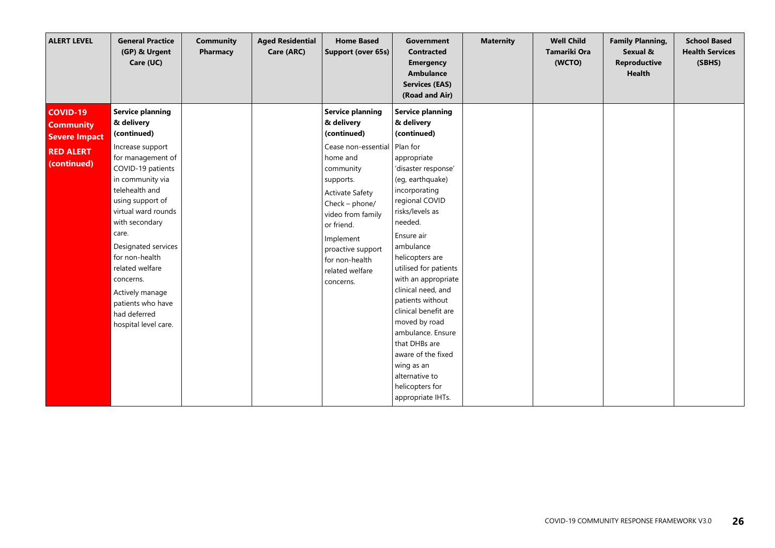| <b>General Practice</b><br><b>ALERT LEVEL</b><br>(GP) & Urgent<br>Care (UC)                                                                                                                                                                                                                                                                                                                                                                                                               | <b>Community</b><br><b>Aged Residential</b><br>Pharmacy<br>Care (ARC) | <b>Home Based</b><br>Support (over 65s)                                                                                                                                                                                                                                                       | Government<br><b>Contracted</b><br><b>Emergency</b><br>Ambulance<br><b>Services (EAS)</b><br>(Road and Air)                                                                                                                                                                                                                                                                                                                                                                                          | <b>Maternity</b> | <b>Well Child</b><br>Tamariki Ora<br>(WCTO) | <b>Family Planning,</b><br>Sexual &<br><b>Reproductive</b><br><b>Health</b> | <b>School Based</b><br><b>Health Services</b><br>(SBHS) |
|-------------------------------------------------------------------------------------------------------------------------------------------------------------------------------------------------------------------------------------------------------------------------------------------------------------------------------------------------------------------------------------------------------------------------------------------------------------------------------------------|-----------------------------------------------------------------------|-----------------------------------------------------------------------------------------------------------------------------------------------------------------------------------------------------------------------------------------------------------------------------------------------|------------------------------------------------------------------------------------------------------------------------------------------------------------------------------------------------------------------------------------------------------------------------------------------------------------------------------------------------------------------------------------------------------------------------------------------------------------------------------------------------------|------------------|---------------------------------------------|-----------------------------------------------------------------------------|---------------------------------------------------------|
| <b>Service planning</b><br><b>COVID-19</b><br>& delivery<br><b>Community</b><br>(continued)<br><b>Severe Impact</b><br>Increase support<br><b>RED ALERT</b><br>for management of<br>(continued)<br>COVID-19 patients<br>in community via<br>telehealth and<br>using support of<br>virtual ward rounds<br>with secondary<br>care.<br>Designated services<br>for non-health<br>related welfare<br>concerns.<br>Actively manage<br>patients who have<br>had deferred<br>hospital level care. |                                                                       | <b>Service planning</b><br>& delivery<br>(continued)<br>Cease non-essential Plan for<br>home and<br>community<br>supports.<br><b>Activate Safety</b><br>Check - phone/<br>video from family<br>or friend.<br>Implement<br>proactive support<br>for non-health<br>related welfare<br>concerns. | <b>Service planning</b><br>& delivery<br>(continued)<br>appropriate<br>'disaster response'<br>(eg, earthquake)<br>incorporating<br>regional COVID<br>risks/levels as<br>needed.<br>Ensure air<br>ambulance<br>helicopters are<br>utilised for patients<br>with an appropriate<br>clinical need, and<br>patients without<br>clinical benefit are<br>moved by road<br>ambulance. Ensure<br>that DHBs are<br>aware of the fixed<br>wing as an<br>alternative to<br>helicopters for<br>appropriate IHTs. |                  |                                             |                                                                             |                                                         |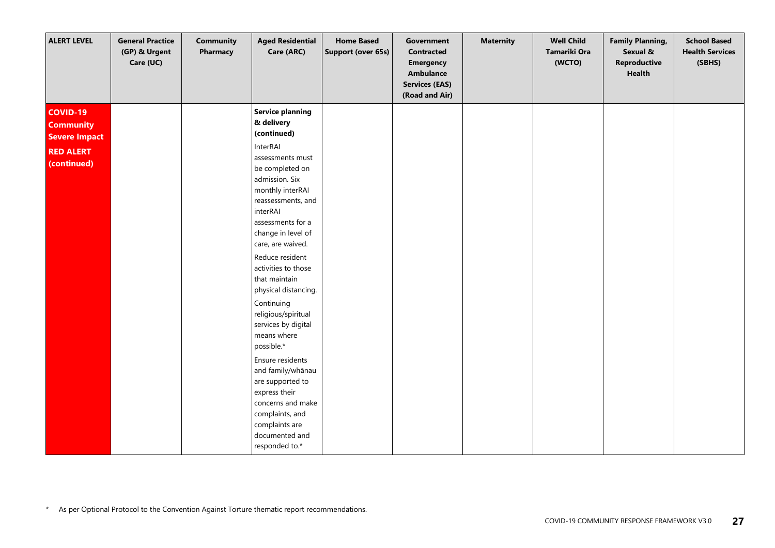| <b>ALERT LEVEL</b>                                                                             | <b>General Practice</b><br>(GP) & Urgent<br>Care (UC) | <b>Community</b><br>Pharmacy | <b>Aged Residential</b><br>Care (ARC)                                                                                                                                                                                                                                                                                                                                                                                                                                                                                                                                                                   | <b>Home Based</b><br>Support (over 65s) | Government<br><b>Contracted</b><br><b>Emergency</b><br><b>Ambulance</b><br><b>Services (EAS)</b><br>(Road and Air) | <b>Maternity</b> | <b>Well Child</b><br>Tamariki Ora<br>(WCTO) | <b>Family Planning,</b><br>Sexual &<br>Reproductive<br><b>Health</b> | <b>School Based</b><br><b>Health Services</b><br>(SBHS) |
|------------------------------------------------------------------------------------------------|-------------------------------------------------------|------------------------------|---------------------------------------------------------------------------------------------------------------------------------------------------------------------------------------------------------------------------------------------------------------------------------------------------------------------------------------------------------------------------------------------------------------------------------------------------------------------------------------------------------------------------------------------------------------------------------------------------------|-----------------------------------------|--------------------------------------------------------------------------------------------------------------------|------------------|---------------------------------------------|----------------------------------------------------------------------|---------------------------------------------------------|
| <b>COVID-19</b><br><b>Community</b><br><b>Severe Impact</b><br><b>RED ALERT</b><br>(continued) |                                                       |                              | <b>Service planning</b><br>& delivery<br>(continued)<br>InterRAI<br>assessments must<br>be completed on<br>admission. Six<br>monthly interRAI<br>reassessments, and<br>interRAI<br>assessments for a<br>change in level of<br>care, are waived.<br>Reduce resident<br>activities to those<br>that maintain<br>physical distancing.<br>Continuing<br>religious/spiritual<br>services by digital<br>means where<br>possible.*<br>Ensure residents<br>and family/whānau<br>are supported to<br>express their<br>concerns and make<br>complaints, and<br>complaints are<br>documented and<br>responded to.* |                                         |                                                                                                                    |                  |                                             |                                                                      |                                                         |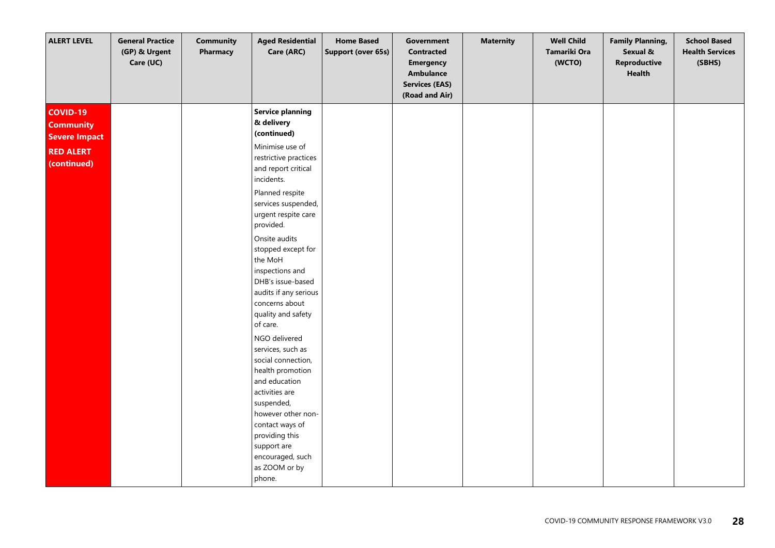| <b>ALERT LEVEL</b>                                                                             | <b>General Practice</b><br>(GP) & Urgent<br>Care (UC) | <b>Community</b><br>Pharmacy | <b>Aged Residential</b><br>Care (ARC)                                                                                                                                                                                                                                                                                                                                                                                                                                                                                                                                                                                                                | <b>Home Based</b><br>Support (over 65s) | Government<br><b>Contracted</b><br><b>Emergency</b><br><b>Ambulance</b><br><b>Services (EAS)</b><br>(Road and Air) | <b>Maternity</b> | <b>Well Child</b><br>Tamariki Ora<br>(WCTO) | <b>Family Planning,</b><br>Sexual &<br>Reproductive<br>Health | <b>School Based</b><br><b>Health Services</b><br>(SBHS) |
|------------------------------------------------------------------------------------------------|-------------------------------------------------------|------------------------------|------------------------------------------------------------------------------------------------------------------------------------------------------------------------------------------------------------------------------------------------------------------------------------------------------------------------------------------------------------------------------------------------------------------------------------------------------------------------------------------------------------------------------------------------------------------------------------------------------------------------------------------------------|-----------------------------------------|--------------------------------------------------------------------------------------------------------------------|------------------|---------------------------------------------|---------------------------------------------------------------|---------------------------------------------------------|
| <b>COVID-19</b><br><b>Community</b><br><b>Severe Impact</b><br><b>RED ALERT</b><br>(continued) |                                                       |                              | <b>Service planning</b><br>& delivery<br>(continued)<br>Minimise use of<br>restrictive practices<br>and report critical<br>incidents.<br>Planned respite<br>services suspended,<br>urgent respite care<br>provided.<br>Onsite audits<br>stopped except for<br>the MoH<br>inspections and<br>DHB's issue-based<br>audits if any serious<br>concerns about<br>quality and safety<br>of care.<br>NGO delivered<br>services, such as<br>social connection,<br>health promotion<br>and education<br>activities are<br>suspended,<br>however other non-<br>contact ways of<br>providing this<br>support are<br>encouraged, such<br>as ZOOM or by<br>phone. |                                         |                                                                                                                    |                  |                                             |                                                               |                                                         |